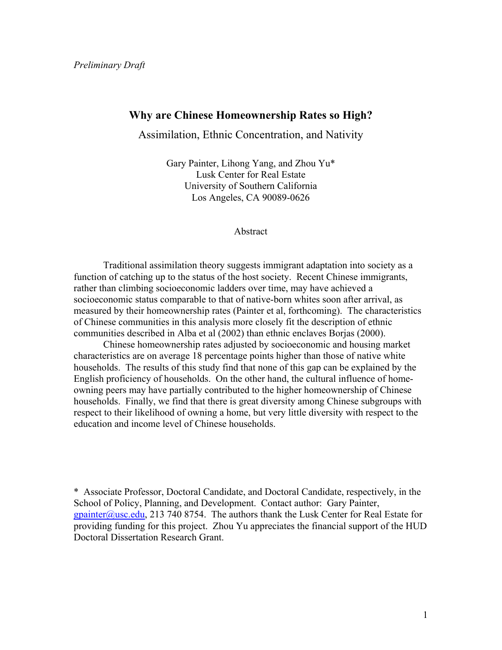## **Why are Chinese Homeownership Rates so High?**

Assimilation, Ethnic Concentration, and Nativity

Gary Painter, Lihong Yang, and Zhou Yu\* Lusk Center for Real Estate University of Southern California Los Angeles, CA 90089-0626

### Abstract

 Traditional assimilation theory suggests immigrant adaptation into society as a function of catching up to the status of the host society. Recent Chinese immigrants, rather than climbing socioeconomic ladders over time, may have achieved a socioeconomic status comparable to that of native-born whites soon after arrival, as measured by their homeownership rates (Painter et al, forthcoming). The characteristics of Chinese communities in this analysis more closely fit the description of ethnic communities described in Alba et al (2002) than ethnic enclaves Borjas (2000).

 Chinese homeownership rates adjusted by socioeconomic and housing market characteristics are on average 18 percentage points higher than those of native white households. The results of this study find that none of this gap can be explained by the English proficiency of households. On the other hand, the cultural influence of homeowning peers may have partially contributed to the higher homeownership of Chinese households. Finally, we find that there is great diversity among Chinese subgroups with respect to their likelihood of owning a home, but very little diversity with respect to the education and income level of Chinese households.

\* Associate Professor, Doctoral Candidate, and Doctoral Candidate, respectively, in the School of Policy, Planning, and Development. Contact author: Gary Painter, gpainter@usc.edu, 213 740 8754. The authors thank the Lusk Center for Real Estate for providing funding for this project. Zhou Yu appreciates the financial support of the HUD Doctoral Dissertation Research Grant.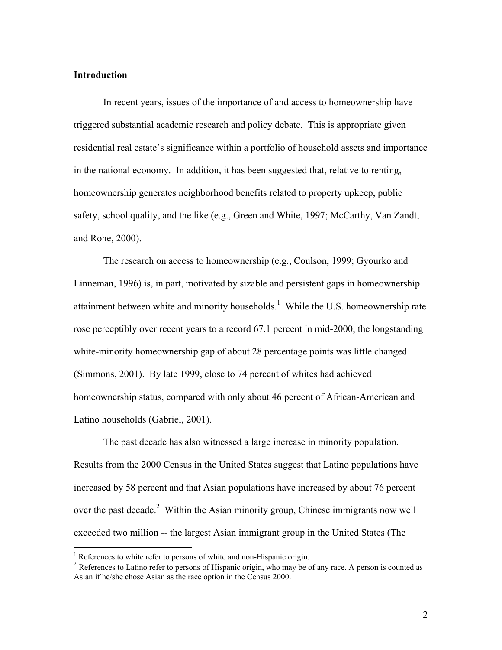### **Introduction**

In recent years, issues of the importance of and access to homeownership have triggered substantial academic research and policy debate. This is appropriate given residential real estate's significance within a portfolio of household assets and importance in the national economy. In addition, it has been suggested that, relative to renting, homeownership generates neighborhood benefits related to property upkeep, public safety, school quality, and the like (e.g., Green and White, 1997; McCarthy, Van Zandt, and Rohe, 2000).

The research on access to homeownership (e.g., Coulson, 1999; Gyourko and Linneman, 1996) is, in part, motivated by sizable and persistent gaps in homeownership attainment between white and minority households.<sup>1</sup> While the U.S. homeownership rate rose perceptibly over recent years to a record 67.1 percent in mid-2000, the longstanding white-minority homeownership gap of about 28 percentage points was little changed (Simmons, 2001). By late 1999, close to 74 percent of whites had achieved homeownership status, compared with only about 46 percent of African-American and Latino households (Gabriel, 2001).

The past decade has also witnessed a large increase in minority population. Results from the 2000 Census in the United States suggest that Latino populations have increased by 58 percent and that Asian populations have increased by about 76 percent over the past decade.<sup>2</sup> Within the Asian minority group, Chinese immigrants now well exceeded two million -- the largest Asian immigrant group in the United States (The

 $\overline{a}$ 

<sup>&</sup>lt;sup>1</sup> References to white refer to persons of white and non-Hispanic origin.

<sup>&</sup>lt;sup>2</sup> References to Latino refer to persons of Hispanic origin, who may be of any race. A person is counted as Asian if he/she chose Asian as the race option in the Census 2000.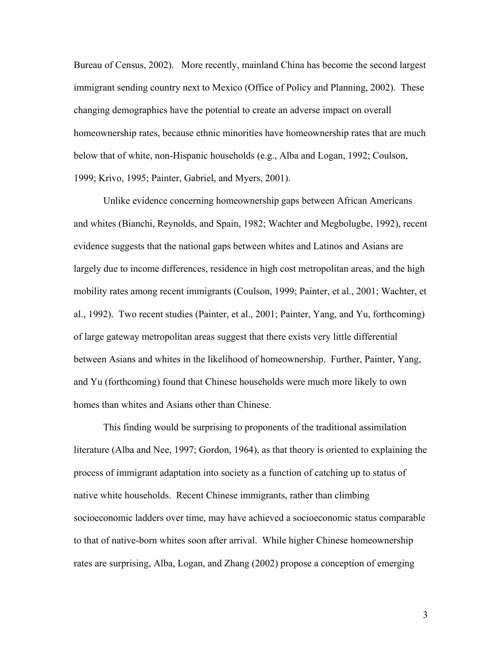Bureau of Census, 2002). More recently, mainland China has become the second largest immigrant sending country next to Mexico (Office of Policy and Planning, 2002). These changing demographics have the potential to create an adverse impact on overall homeownership rates, because ethnic minorities have homeownership rates that are much below that of white, non-Hispanic households (e.g., Alba and Logan, 1992; Coulson, 1999; Krivo, 1995; Painter, Gabriel, and Myers, 2001).

Unlike evidence concerning homeownership gaps between African Americans and whites (Bianchi, Reynolds, and Spain, 1982; Wachter and Megbolugbe, 1992), recent evidence suggests that the national gaps between whites and Latinos and Asians are largely due to income differences, residence in high cost metropolitan areas, and the high mobility rates among recent immigrants (Coulson, 1999; Painter, et al., 2001; Wachter, et al., 1992). Two recent studies (Painter, et al., 2001; Painter, Yang, and Yu, forthcoming) of large gateway metropolitan areas suggest that there exists very little differential between Asians and whites in the likelihood of homeownership. Further, Painter, Yang, and Yu (forthcoming) found that Chinese households were much more likely to own homes than whites and Asians other than Chinese.

This finding would be surprising to proponents of the traditional assimilation literature (Alba and Nee, 1997; Gordon, 1964), as that theory is oriented to explaining the process of immigrant adaptation into society as a function of catching up to status of native white households. Recent Chinese immigrants, rather than climbing socioeconomic ladders over time, may have achieved a socioeconomic status comparable to that of native-born whites soon after arrival. While higher Chinese homeownership rates are surprising, Alba, Logan, and Zhang (2002) propose a conception of emerging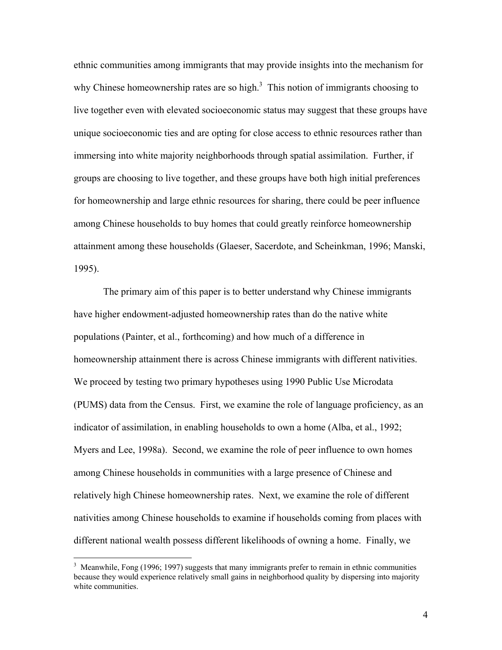ethnic communities among immigrants that may provide insights into the mechanism for why Chinese homeownership rates are so high. $3$  This notion of immigrants choosing to live together even with elevated socioeconomic status may suggest that these groups have unique socioeconomic ties and are opting for close access to ethnic resources rather than immersing into white majority neighborhoods through spatial assimilation. Further, if groups are choosing to live together, and these groups have both high initial preferences for homeownership and large ethnic resources for sharing, there could be peer influence among Chinese households to buy homes that could greatly reinforce homeownership attainment among these households (Glaeser, Sacerdote, and Scheinkman, 1996; Manski, 1995).

The primary aim of this paper is to better understand why Chinese immigrants have higher endowment-adjusted homeownership rates than do the native white populations (Painter, et al., forthcoming) and how much of a difference in homeownership attainment there is across Chinese immigrants with different nativities. We proceed by testing two primary hypotheses using 1990 Public Use Microdata (PUMS) data from the Census. First, we examine the role of language proficiency, as an indicator of assimilation, in enabling households to own a home (Alba, et al., 1992; Myers and Lee, 1998a). Second, we examine the role of peer influence to own homes among Chinese households in communities with a large presence of Chinese and relatively high Chinese homeownership rates. Next, we examine the role of different nativities among Chinese households to examine if households coming from places with different national wealth possess different likelihoods of owning a home. Finally, we

 $\overline{a}$ 

 $3$  Meanwhile, Fong (1996; 1997) suggests that many immigrants prefer to remain in ethnic communities because they would experience relatively small gains in neighborhood quality by dispersing into majority white communities.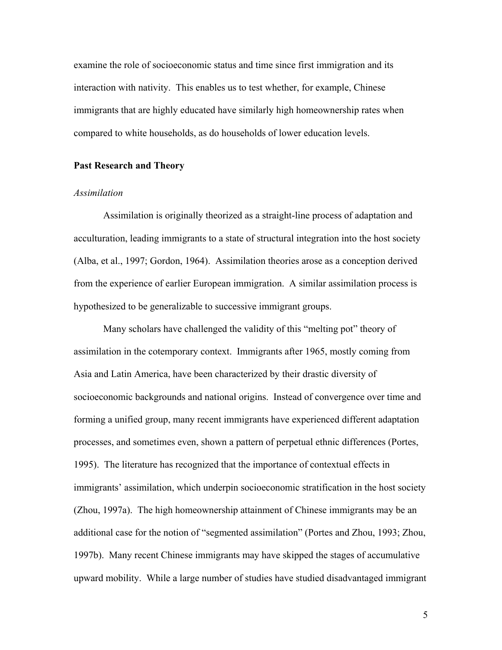examine the role of socioeconomic status and time since first immigration and its interaction with nativity. This enables us to test whether, for example, Chinese immigrants that are highly educated have similarly high homeownership rates when compared to white households, as do households of lower education levels.

#### **Past Research and Theory**

#### *Assimilation*

Assimilation is originally theorized as a straight-line process of adaptation and acculturation, leading immigrants to a state of structural integration into the host society (Alba, et al., 1997; Gordon, 1964). Assimilation theories arose as a conception derived from the experience of earlier European immigration. A similar assimilation process is hypothesized to be generalizable to successive immigrant groups.

Many scholars have challenged the validity of this "melting pot" theory of assimilation in the cotemporary context. Immigrants after 1965, mostly coming from Asia and Latin America, have been characterized by their drastic diversity of socioeconomic backgrounds and national origins. Instead of convergence over time and forming a unified group, many recent immigrants have experienced different adaptation processes, and sometimes even, shown a pattern of perpetual ethnic differences (Portes, 1995). The literature has recognized that the importance of contextual effects in immigrants' assimilation, which underpin socioeconomic stratification in the host society (Zhou, 1997a). The high homeownership attainment of Chinese immigrants may be an additional case for the notion of "segmented assimilation" (Portes and Zhou, 1993; Zhou, 1997b). Many recent Chinese immigrants may have skipped the stages of accumulative upward mobility. While a large number of studies have studied disadvantaged immigrant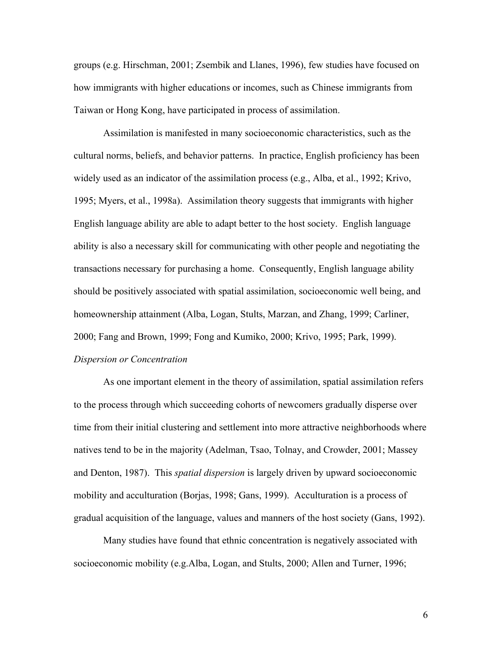groups (e.g. Hirschman, 2001; Zsembik and Llanes, 1996), few studies have focused on how immigrants with higher educations or incomes, such as Chinese immigrants from Taiwan or Hong Kong, have participated in process of assimilation.

Assimilation is manifested in many socioeconomic characteristics, such as the cultural norms, beliefs, and behavior patterns. In practice, English proficiency has been widely used as an indicator of the assimilation process (e.g., Alba, et al., 1992; Krivo, 1995; Myers, et al., 1998a). Assimilation theory suggests that immigrants with higher English language ability are able to adapt better to the host society. English language ability is also a necessary skill for communicating with other people and negotiating the transactions necessary for purchasing a home. Consequently, English language ability should be positively associated with spatial assimilation, socioeconomic well being, and homeownership attainment (Alba, Logan, Stults, Marzan, and Zhang, 1999; Carliner, 2000; Fang and Brown, 1999; Fong and Kumiko, 2000; Krivo, 1995; Park, 1999).

### *Dispersion or Concentration*

As one important element in the theory of assimilation, spatial assimilation refers to the process through which succeeding cohorts of newcomers gradually disperse over time from their initial clustering and settlement into more attractive neighborhoods where natives tend to be in the majority (Adelman, Tsao, Tolnay, and Crowder, 2001; Massey and Denton, 1987). This *spatial dispersion* is largely driven by upward socioeconomic mobility and acculturation (Borjas, 1998; Gans, 1999). Acculturation is a process of gradual acquisition of the language, values and manners of the host society (Gans, 1992).

Many studies have found that ethnic concentration is negatively associated with socioeconomic mobility (e.g.Alba, Logan, and Stults, 2000; Allen and Turner, 1996;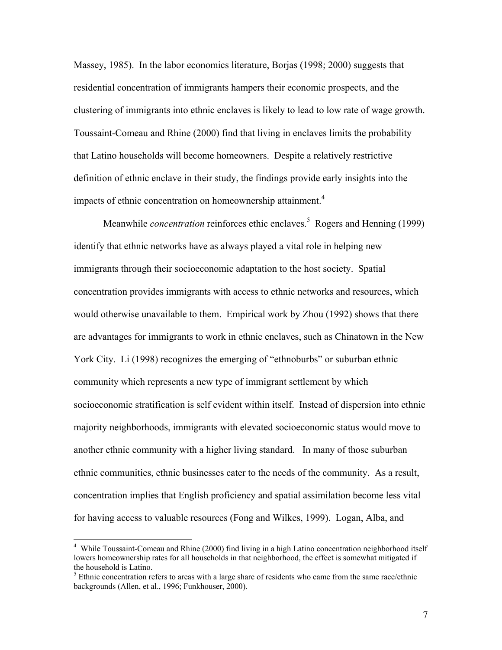Massey, 1985). In the labor economics literature, Borjas (1998; 2000) suggests that residential concentration of immigrants hampers their economic prospects, and the clustering of immigrants into ethnic enclaves is likely to lead to low rate of wage growth. Toussaint-Comeau and Rhine (2000) find that living in enclaves limits the probability that Latino households will become homeowners. Despite a relatively restrictive definition of ethnic enclave in their study, the findings provide early insights into the impacts of ethnic concentration on homeownership attainment.<sup>4</sup>

Meanwhile *concentration* reinforces ethic enclaves.<sup>5</sup> Rogers and Henning (1999) identify that ethnic networks have as always played a vital role in helping new immigrants through their socioeconomic adaptation to the host society. Spatial concentration provides immigrants with access to ethnic networks and resources, which would otherwise unavailable to them. Empirical work by Zhou (1992) shows that there are advantages for immigrants to work in ethnic enclaves, such as Chinatown in the New York City. Li (1998) recognizes the emerging of "ethnoburbs" or suburban ethnic community which represents a new type of immigrant settlement by which socioeconomic stratification is self evident within itself. Instead of dispersion into ethnic majority neighborhoods, immigrants with elevated socioeconomic status would move to another ethnic community with a higher living standard. In many of those suburban ethnic communities, ethnic businesses cater to the needs of the community. As a result, concentration implies that English proficiency and spatial assimilation become less vital for having access to valuable resources (Fong and Wilkes, 1999). Logan, Alba, and

 $\overline{a}$ 

<sup>&</sup>lt;sup>4</sup> While Toussaint-Comeau and Rhine (2000) find living in a high Latino concentration neighborhood itself lowers homeownership rates for all households in that neighborhood, the effect is somewhat mitigated if the household is Latino.

 $<sup>5</sup>$  Ethnic concentration refers to areas with a large share of residents who came from the same race/ethnic</sup> backgrounds (Allen, et al., 1996; Funkhouser, 2000).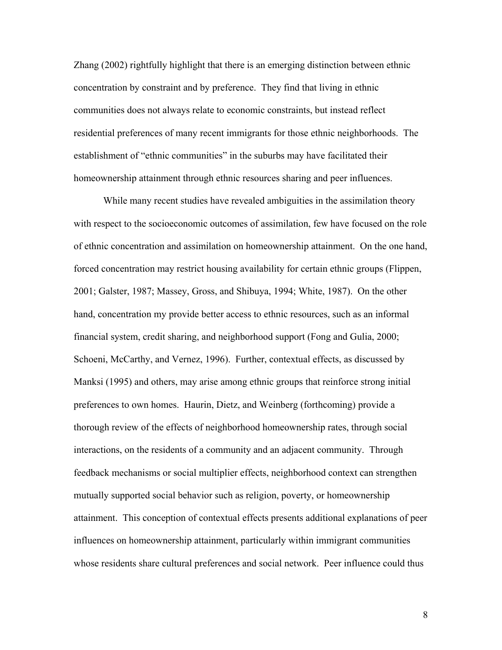Zhang (2002) rightfully highlight that there is an emerging distinction between ethnic concentration by constraint and by preference. They find that living in ethnic communities does not always relate to economic constraints, but instead reflect residential preferences of many recent immigrants for those ethnic neighborhoods. The establishment of "ethnic communities" in the suburbs may have facilitated their homeownership attainment through ethnic resources sharing and peer influences.

While many recent studies have revealed ambiguities in the assimilation theory with respect to the socioeconomic outcomes of assimilation, few have focused on the role of ethnic concentration and assimilation on homeownership attainment. On the one hand, forced concentration may restrict housing availability for certain ethnic groups (Flippen, 2001; Galster, 1987; Massey, Gross, and Shibuya, 1994; White, 1987). On the other hand, concentration my provide better access to ethnic resources, such as an informal financial system, credit sharing, and neighborhood support (Fong and Gulia, 2000; Schoeni, McCarthy, and Vernez, 1996). Further, contextual effects, as discussed by Manksi (1995) and others, may arise among ethnic groups that reinforce strong initial preferences to own homes. Haurin, Dietz, and Weinberg (forthcoming) provide a thorough review of the effects of neighborhood homeownership rates, through social interactions, on the residents of a community and an adjacent community. Through feedback mechanisms or social multiplier effects, neighborhood context can strengthen mutually supported social behavior such as religion, poverty, or homeownership attainment. This conception of contextual effects presents additional explanations of peer influences on homeownership attainment, particularly within immigrant communities whose residents share cultural preferences and social network. Peer influence could thus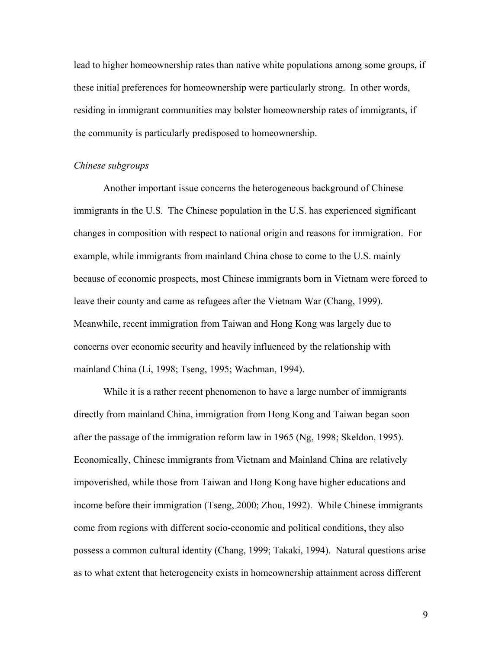lead to higher homeownership rates than native white populations among some groups, if these initial preferences for homeownership were particularly strong. In other words, residing in immigrant communities may bolster homeownership rates of immigrants, if the community is particularly predisposed to homeownership.

#### *Chinese subgroups*

Another important issue concerns the heterogeneous background of Chinese immigrants in the U.S. The Chinese population in the U.S. has experienced significant changes in composition with respect to national origin and reasons for immigration. For example, while immigrants from mainland China chose to come to the U.S. mainly because of economic prospects, most Chinese immigrants born in Vietnam were forced to leave their county and came as refugees after the Vietnam War (Chang, 1999). Meanwhile, recent immigration from Taiwan and Hong Kong was largely due to concerns over economic security and heavily influenced by the relationship with mainland China (Li, 1998; Tseng, 1995; Wachman, 1994).

While it is a rather recent phenomenon to have a large number of immigrants directly from mainland China, immigration from Hong Kong and Taiwan began soon after the passage of the immigration reform law in 1965 (Ng, 1998; Skeldon, 1995). Economically, Chinese immigrants from Vietnam and Mainland China are relatively impoverished, while those from Taiwan and Hong Kong have higher educations and income before their immigration (Tseng, 2000; Zhou, 1992). While Chinese immigrants come from regions with different socio-economic and political conditions, they also possess a common cultural identity (Chang, 1999; Takaki, 1994). Natural questions arise as to what extent that heterogeneity exists in homeownership attainment across different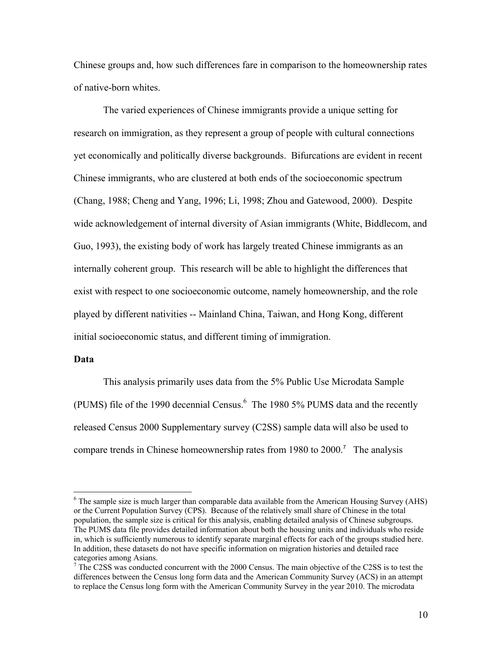Chinese groups and, how such differences fare in comparison to the homeownership rates of native-born whites.

The varied experiences of Chinese immigrants provide a unique setting for research on immigration, as they represent a group of people with cultural connections yet economically and politically diverse backgrounds. Bifurcations are evident in recent Chinese immigrants, who are clustered at both ends of the socioeconomic spectrum (Chang, 1988; Cheng and Yang, 1996; Li, 1998; Zhou and Gatewood, 2000). Despite wide acknowledgement of internal diversity of Asian immigrants (White, Biddlecom, and Guo, 1993), the existing body of work has largely treated Chinese immigrants as an internally coherent group. This research will be able to highlight the differences that exist with respect to one socioeconomic outcome, namely homeownership, and the role played by different nativities -- Mainland China, Taiwan, and Hong Kong, different initial socioeconomic status, and different timing of immigration.

#### **Data**

 $\overline{a}$ 

This analysis primarily uses data from the 5% Public Use Microdata Sample (PUMS) file of the 1990 decennial Census. $6$  The 1980 5% PUMS data and the recently released Census 2000 Supplementary survey (C2SS) sample data will also be used to compare trends in Chinese homeownership rates from 1980 to 2000.<sup>7</sup> The analysis

 $6$  The sample size is much larger than comparable data available from the American Housing Survey (AHS) or the Current Population Survey (CPS). Because of the relatively small share of Chinese in the total population, the sample size is critical for this analysis, enabling detailed analysis of Chinese subgroups. The PUMS data file provides detailed information about both the housing units and individuals who reside in, which is sufficiently numerous to identify separate marginal effects for each of the groups studied here. In addition, these datasets do not have specific information on migration histories and detailed race categories among Asians.

<sup>&</sup>lt;sup>7</sup> The C2SS was conducted concurrent with the 2000 Census. The main objective of the C2SS is to test the differences between the Census long form data and the American Community Survey (ACS) in an attempt to replace the Census long form with the American Community Survey in the year 2010. The microdata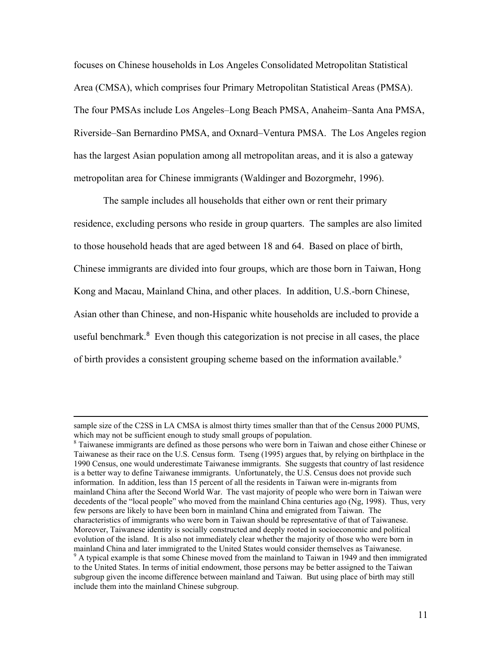focuses on Chinese households in Los Angeles Consolidated Metropolitan Statistical Area (CMSA), which comprises four Primary Metropolitan Statistical Areas (PMSA). The four PMSAs include Los Angeles–Long Beach PMSA, Anaheim–Santa Ana PMSA, Riverside–San Bernardino PMSA, and Oxnard–Ventura PMSA. The Los Angeles region has the largest Asian population among all metropolitan areas, and it is also a gateway metropolitan area for Chinese immigrants (Waldinger and Bozorgmehr, 1996).

The sample includes all households that either own or rent their primary residence, excluding persons who reside in group quarters. The samples are also limited to those household heads that are aged between 18 and 64. Based on place of birth, Chinese immigrants are divided into four groups, which are those born in Taiwan, Hong Kong and Macau, Mainland China, and other places. In addition, U.S.-born Chinese, Asian other than Chinese, and non-Hispanic white households are included to provide a useful benchmark. $8$  Even though this categorization is not precise in all cases, the place of birth provides a consistent grouping scheme based on the information available.<sup>9</sup>

sample size of the C2SS in LA CMSA is almost thirty times smaller than that of the Census 2000 PUMS, which may not be sufficient enough to study small groups of population.

<sup>&</sup>lt;sup>8</sup> Taiwanese immigrants are defined as those persons who were born in Taiwan and chose either Chinese or Taiwanese as their race on the U.S. Census form. Tseng (1995) argues that, by relying on birthplace in the 1990 Census, one would underestimate Taiwanese immigrants. She suggests that country of last residence is a better way to define Taiwanese immigrants. Unfortunately, the U.S. Census does not provide such information. In addition, less than 15 percent of all the residents in Taiwan were in-migrants from mainland China after the Second World War. The vast majority of people who were born in Taiwan were decedents of the "local people" who moved from the mainland China centuries ago (Ng, 1998). Thus, very few persons are likely to have been born in mainland China and emigrated from Taiwan. The characteristics of immigrants who were born in Taiwan should be representative of that of Taiwanese. Moreover, Taiwanese identity is socially constructed and deeply rooted in socioeconomic and political evolution of the island. It is also not immediately clear whether the majority of those who were born in mainland China and later immigrated to the United States would consider themselves as Taiwanese. 9

<sup>&</sup>lt;sup>9</sup> A typical example is that some Chinese moved from the mainland to Taiwan in 1949 and then immigrated to the United States. In terms of initial endowment, those persons may be better assigned to the Taiwan subgroup given the income difference between mainland and Taiwan. But using place of birth may still include them into the mainland Chinese subgroup.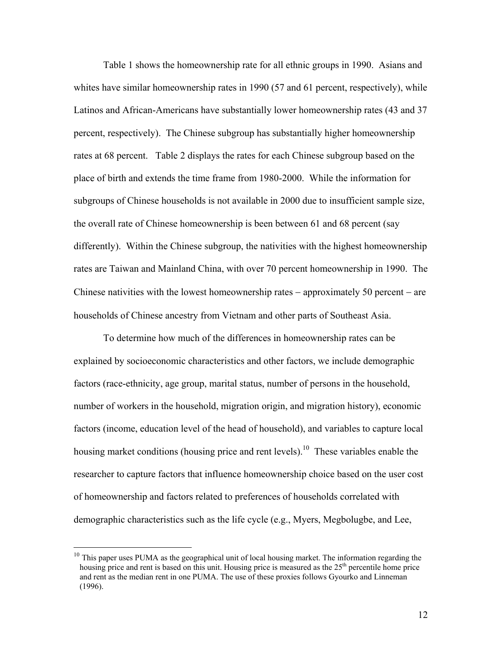Table 1 shows the homeownership rate for all ethnic groups in 1990. Asians and whites have similar homeownership rates in 1990 (57 and 61 percent, respectively), while Latinos and African-Americans have substantially lower homeownership rates (43 and 37 percent, respectively). The Chinese subgroup has substantially higher homeownership rates at 68 percent. Table 2 displays the rates for each Chinese subgroup based on the place of birth and extends the time frame from 1980-2000. While the information for subgroups of Chinese households is not available in 2000 due to insufficient sample size, the overall rate of Chinese homeownership is been between 61 and 68 percent (say differently). Within the Chinese subgroup, the nativities with the highest homeownership rates are Taiwan and Mainland China, with over 70 percent homeownership in 1990. The Chinese nativities with the lowest homeownership rates − approximately 50 percent − are households of Chinese ancestry from Vietnam and other parts of Southeast Asia.

To determine how much of the differences in homeownership rates can be explained by socioeconomic characteristics and other factors, we include demographic factors (race-ethnicity, age group, marital status, number of persons in the household, number of workers in the household, migration origin, and migration history), economic factors (income, education level of the head of household), and variables to capture local housing market conditions (housing price and rent levels).<sup>10</sup> These variables enable the researcher to capture factors that influence homeownership choice based on the user cost of homeownership and factors related to preferences of households correlated with demographic characteristics such as the life cycle (e.g., Myers, Megbolugbe, and Lee,

 $\overline{a}$ 

 $10$  This paper uses PUMA as the geographical unit of local housing market. The information regarding the housing price and rent is based on this unit. Housing price is measured as the  $25<sup>th</sup>$  percentile home price and rent as the median rent in one PUMA. The use of these proxies follows Gyourko and Linneman (1996).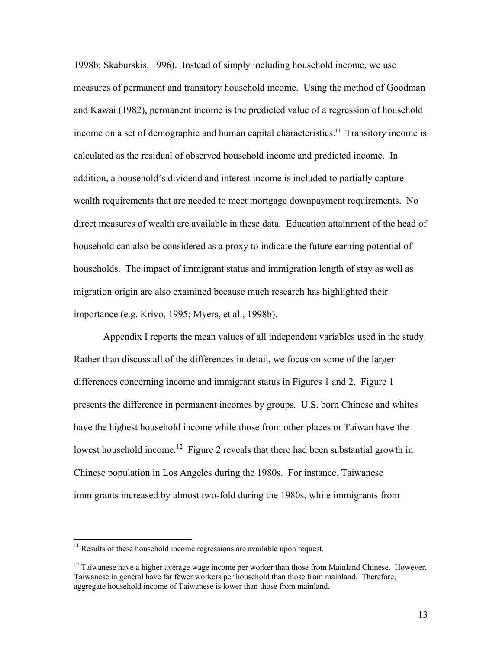1998b; Skaburskis, 1996). Instead of simply including household income, we use measures of permanent and transitory household income. Using the method of Goodman and Kawai (1982), permanent income is the predicted value of a regression of household income on a set of demographic and human capital characteristics.<sup>11</sup> Transitory income is calculated as the residual of observed household income and predicted income. In addition, a household's dividend and interest income is included to partially capture wealth requirements that are needed to meet mortgage downpayment requirements. No direct measures of wealth are available in these data. Education attainment of the head of household can also be considered as a proxy to indicate the future earning potential of households. The impact of immigrant status and immigration length of stay as well as migration origin are also examined because much research has highlighted their importance (e.g. Krivo, 1995; Myers, et al., 1998b).

Appendix I reports the mean values of all independent variables used in the study. Rather than discuss all of the differences in detail, we focus on some of the larger differences concerning income and immigrant status in Figures 1 and 2. Figure 1 presents the difference in permanent incomes by groups. U.S. born Chinese and whites have the highest household income while those from other places or Taiwan have the lowest household income.<sup>12</sup> Figure 2 reveals that there had been substantial growth in Chinese population in Los Angeles during the 1980s. For instance, Taiwanese immigrants increased by almost two-fold during the 1980s, while immigrants from

 $\overline{a}$ 

 $11$  Results of these household income regressions are available upon request.

 $12$  Taiwanese have a higher average wage income per worker than those from Mainland Chinese. However, Taiwanese in general have far fewer workers per household than those from mainland. Therefore, aggregate household income of Taiwanese is lower than those from mainland.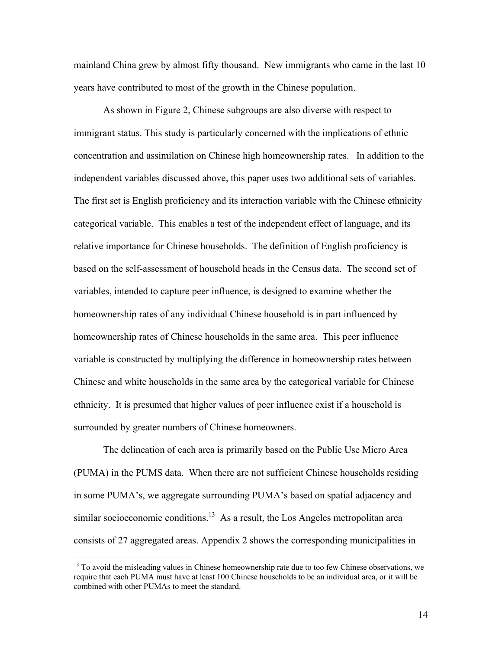mainland China grew by almost fifty thousand. New immigrants who came in the last 10 years have contributed to most of the growth in the Chinese population.

As shown in Figure 2, Chinese subgroups are also diverse with respect to immigrant status. This study is particularly concerned with the implications of ethnic concentration and assimilation on Chinese high homeownership rates. In addition to the independent variables discussed above, this paper uses two additional sets of variables. The first set is English proficiency and its interaction variable with the Chinese ethnicity categorical variable. This enables a test of the independent effect of language, and its relative importance for Chinese households. The definition of English proficiency is based on the self-assessment of household heads in the Census data. The second set of variables, intended to capture peer influence, is designed to examine whether the homeownership rates of any individual Chinese household is in part influenced by homeownership rates of Chinese households in the same area. This peer influence variable is constructed by multiplying the difference in homeownership rates between Chinese and white households in the same area by the categorical variable for Chinese ethnicity. It is presumed that higher values of peer influence exist if a household is surrounded by greater numbers of Chinese homeowners.

The delineation of each area is primarily based on the Public Use Micro Area (PUMA) in the PUMS data. When there are not sufficient Chinese households residing in some PUMA's, we aggregate surrounding PUMA's based on spatial adjacency and similar socioeconomic conditions.<sup>13</sup> As a result, the Los Angeles metropolitan area consists of 27 aggregated areas. Appendix 2 shows the corresponding municipalities in

<sup>&</sup>lt;sup>13</sup> To avoid the misleading values in Chinese homeownership rate due to too few Chinese observations, we require that each PUMA must have at least 100 Chinese households to be an individual area, or it will be combined with other PUMAs to meet the standard.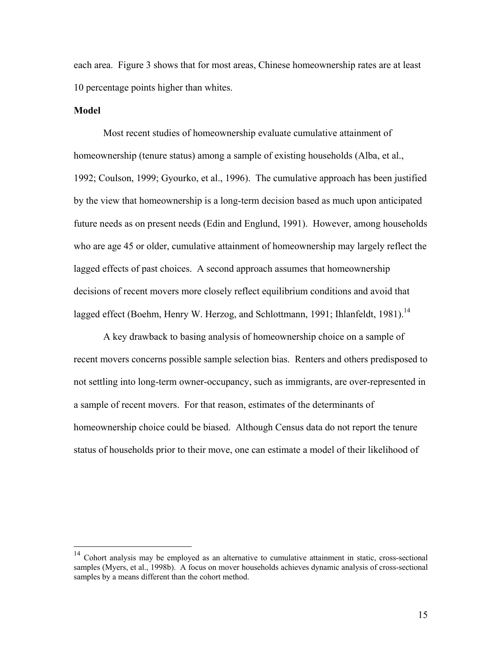each area. Figure 3 shows that for most areas, Chinese homeownership rates are at least 10 percentage points higher than whites.

### **Model**

 $\overline{a}$ 

Most recent studies of homeownership evaluate cumulative attainment of homeownership (tenure status) among a sample of existing households (Alba, et al., 1992; Coulson, 1999; Gyourko, et al., 1996). The cumulative approach has been justified by the view that homeownership is a long-term decision based as much upon anticipated future needs as on present needs (Edin and Englund, 1991). However, among households who are age 45 or older, cumulative attainment of homeownership may largely reflect the lagged effects of past choices. A second approach assumes that homeownership decisions of recent movers more closely reflect equilibrium conditions and avoid that lagged effect (Boehm, Henry W. Herzog, and Schlottmann, 1991; Ihlanfeldt, 1981).<sup>14</sup>

A key drawback to basing analysis of homeownership choice on a sample of recent movers concerns possible sample selection bias. Renters and others predisposed to not settling into long-term owner-occupancy, such as immigrants, are over-represented in a sample of recent movers. For that reason, estimates of the determinants of homeownership choice could be biased. Although Census data do not report the tenure status of households prior to their move, one can estimate a model of their likelihood of

 $14$  Cohort analysis may be employed as an alternative to cumulative attainment in static, cross-sectional samples (Myers, et al., 1998b). A focus on mover households achieves dynamic analysis of cross-sectional samples by a means different than the cohort method.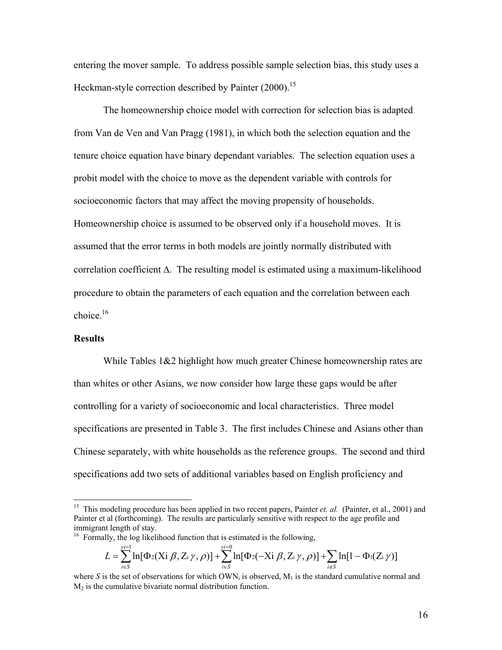entering the mover sample. To address possible sample selection bias, this study uses a Heckman-style correction described by Painter (2000).<sup>15</sup>

The homeownership choice model with correction for selection bias is adapted from Van de Ven and Van Pragg (1981), in which both the selection equation and the tenure choice equation have binary dependant variables. The selection equation uses a probit model with the choice to move as the dependent variable with controls for socioeconomic factors that may affect the moving propensity of households. Homeownership choice is assumed to be observed only if a household moves. It is assumed that the error terms in both models are jointly normally distributed with correlation coefficient ∆. The resulting model is estimated using a maximum-likelihood procedure to obtain the parameters of each equation and the correlation between each choice  $16$ 

### **Results**

1

While Tables 1&2 highlight how much greater Chinese homeownership rates are than whites or other Asians, we now consider how large these gaps would be after controlling for a variety of socioeconomic and local characteristics. Three model specifications are presented in Table 3. The first includes Chinese and Asians other than Chinese separately, with white households as the reference groups. The second and third specifications add two sets of additional variables based on English proficiency and

$$
L = \sum_{i \in S}^{y_i=1} \ln[\Phi_2(\mathrm{Xi} \beta, \mathrm{Z}_i \gamma, \rho)] + \sum_{i \in S}^{y_i=0} \ln[\Phi_2(-\mathrm{Xi} \beta, \mathrm{Z}_i \gamma, \rho)] + \sum_{i \notin S} \ln[1 - \Phi_1(\mathrm{Z}_i \gamma)]
$$

<sup>&</sup>lt;sup>15</sup> This modeling procedure has been applied in two recent papers, Painter *et. al.* (Painter, et al., 2001) and Painter et al (forthcoming). The results are particularly sensitive with respect to the age profile and immigrant length of stay.

<sup>&</sup>lt;sup>16</sup> Formally, the log likelihood function that is estimated is the following,

where S is the set of observations for which OWN<sub>i</sub> is observed,  $M_1$  is the standard cumulative normal and  $M<sub>2</sub>$  is the cumulative bivariate normal distribution function.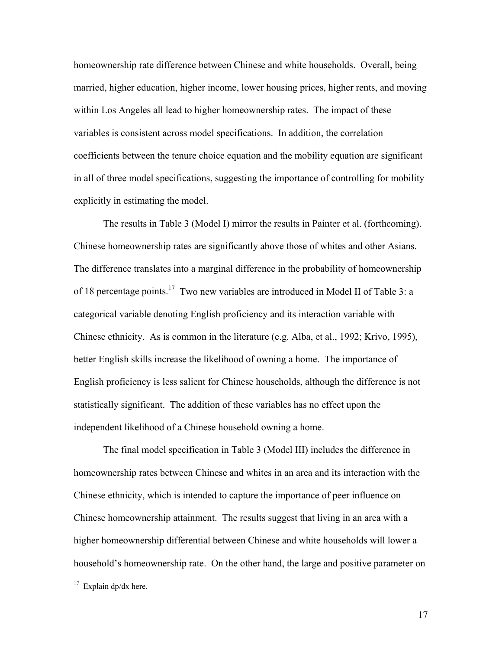homeownership rate difference between Chinese and white households. Overall, being married, higher education, higher income, lower housing prices, higher rents, and moving within Los Angeles all lead to higher homeownership rates. The impact of these variables is consistent across model specifications. In addition, the correlation coefficients between the tenure choice equation and the mobility equation are significant in all of three model specifications, suggesting the importance of controlling for mobility explicitly in estimating the model.

The results in Table 3 (Model I) mirror the results in Painter et al. (forthcoming). Chinese homeownership rates are significantly above those of whites and other Asians. The difference translates into a marginal difference in the probability of homeownership of 18 percentage points.17 Two new variables are introduced in Model II of Table 3: a categorical variable denoting English proficiency and its interaction variable with Chinese ethnicity. As is common in the literature (e.g. Alba, et al., 1992; Krivo, 1995), better English skills increase the likelihood of owning a home. The importance of English proficiency is less salient for Chinese households, although the difference is not statistically significant. The addition of these variables has no effect upon the independent likelihood of a Chinese household owning a home.

The final model specification in Table 3 (Model III) includes the difference in homeownership rates between Chinese and whites in an area and its interaction with the Chinese ethnicity, which is intended to capture the importance of peer influence on Chinese homeownership attainment. The results suggest that living in an area with a higher homeownership differential between Chinese and white households will lower a household's homeownership rate. On the other hand, the large and positive parameter on

 $\overline{a}$ 

 $17$  Explain dp/dx here.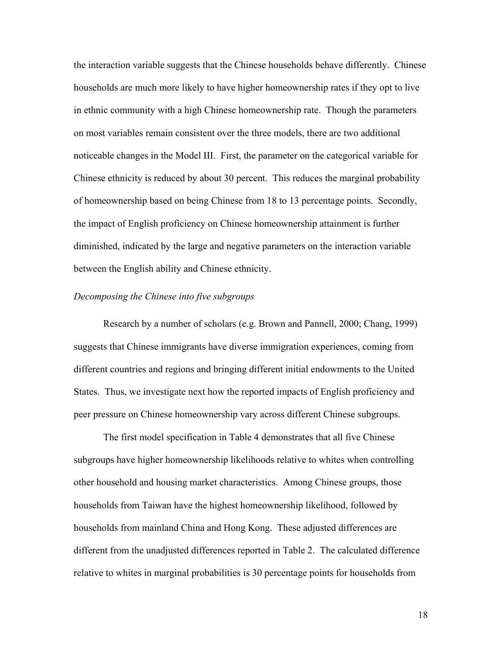the interaction variable suggests that the Chinese households behave differently. Chinese households are much more likely to have higher homeownership rates if they opt to live in ethnic community with a high Chinese homeownership rate. Though the parameters on most variables remain consistent over the three models, there are two additional noticeable changes in the Model III. First, the parameter on the categorical variable for Chinese ethnicity is reduced by about 30 percent. This reduces the marginal probability of homeownership based on being Chinese from 18 to 13 percentage points. Secondly, the impact of English proficiency on Chinese homeownership attainment is further diminished, indicated by the large and negative parameters on the interaction variable between the English ability and Chinese ethnicity.

#### *Decomposing the Chinese into five subgroups*

Research by a number of scholars (e.g. Brown and Pannell, 2000; Chang, 1999) suggests that Chinese immigrants have diverse immigration experiences, coming from different countries and regions and bringing different initial endowments to the United States. Thus, we investigate next how the reported impacts of English proficiency and peer pressure on Chinese homeownership vary across different Chinese subgroups.

The first model specification in Table 4 demonstrates that all five Chinese subgroups have higher homeownership likelihoods relative to whites when controlling other household and housing market characteristics. Among Chinese groups, those households from Taiwan have the highest homeownership likelihood, followed by households from mainland China and Hong Kong. These adjusted differences are different from the unadjusted differences reported in Table 2. The calculated difference relative to whites in marginal probabilities is 30 percentage points for households from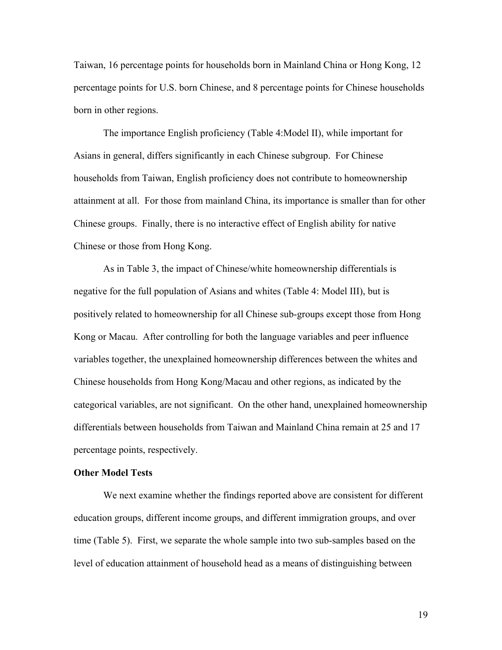Taiwan, 16 percentage points for households born in Mainland China or Hong Kong, 12 percentage points for U.S. born Chinese, and 8 percentage points for Chinese households born in other regions.

The importance English proficiency (Table 4:Model II), while important for Asians in general, differs significantly in each Chinese subgroup. For Chinese households from Taiwan, English proficiency does not contribute to homeownership attainment at all. For those from mainland China, its importance is smaller than for other Chinese groups. Finally, there is no interactive effect of English ability for native Chinese or those from Hong Kong.

As in Table 3, the impact of Chinese/white homeownership differentials is negative for the full population of Asians and whites (Table 4: Model III), but is positively related to homeownership for all Chinese sub-groups except those from Hong Kong or Macau. After controlling for both the language variables and peer influence variables together, the unexplained homeownership differences between the whites and Chinese households from Hong Kong/Macau and other regions, as indicated by the categorical variables, are not significant. On the other hand, unexplained homeownership differentials between households from Taiwan and Mainland China remain at 25 and 17 percentage points, respectively.

#### **Other Model Tests**

We next examine whether the findings reported above are consistent for different education groups, different income groups, and different immigration groups, and over time (Table 5). First, we separate the whole sample into two sub-samples based on the level of education attainment of household head as a means of distinguishing between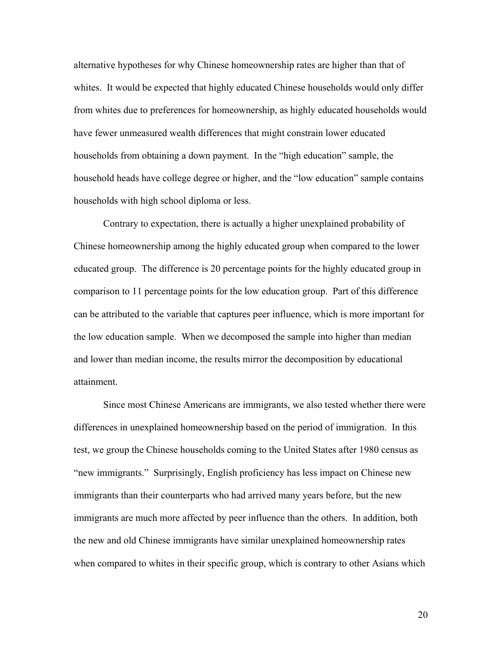alternative hypotheses for why Chinese homeownership rates are higher than that of whites. It would be expected that highly educated Chinese households would only differ from whites due to preferences for homeownership, as highly educated households would have fewer unmeasured wealth differences that might constrain lower educated households from obtaining a down payment. In the "high education" sample, the household heads have college degree or higher, and the "low education" sample contains households with high school diploma or less.

Contrary to expectation, there is actually a higher unexplained probability of Chinese homeownership among the highly educated group when compared to the lower educated group. The difference is 20 percentage points for the highly educated group in comparison to 11 percentage points for the low education group. Part of this difference can be attributed to the variable that captures peer influence, which is more important for the low education sample. When we decomposed the sample into higher than median and lower than median income, the results mirror the decomposition by educational attainment.

Since most Chinese Americans are immigrants, we also tested whether there were differences in unexplained homeownership based on the period of immigration. In this test, we group the Chinese households coming to the United States after 1980 census as "new immigrants." Surprisingly, English proficiency has less impact on Chinese new immigrants than their counterparts who had arrived many years before, but the new immigrants are much more affected by peer influence than the others. In addition, both the new and old Chinese immigrants have similar unexplained homeownership rates when compared to whites in their specific group, which is contrary to other Asians which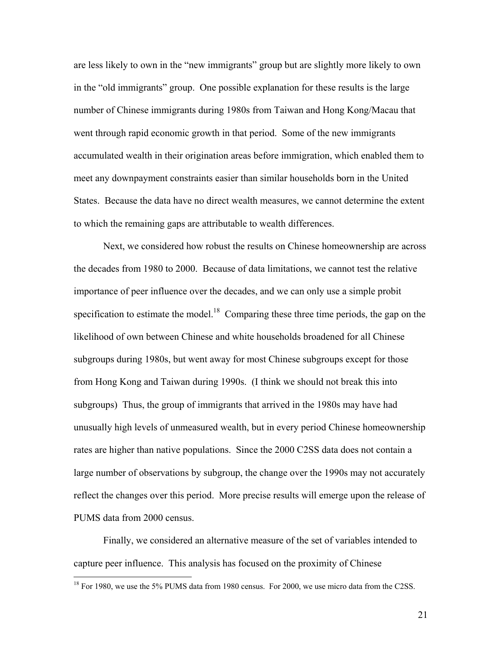are less likely to own in the "new immigrants" group but are slightly more likely to own in the "old immigrants" group. One possible explanation for these results is the large number of Chinese immigrants during 1980s from Taiwan and Hong Kong/Macau that went through rapid economic growth in that period. Some of the new immigrants accumulated wealth in their origination areas before immigration, which enabled them to meet any downpayment constraints easier than similar households born in the United States. Because the data have no direct wealth measures, we cannot determine the extent to which the remaining gaps are attributable to wealth differences.

Next, we considered how robust the results on Chinese homeownership are across the decades from 1980 to 2000. Because of data limitations, we cannot test the relative importance of peer influence over the decades, and we can only use a simple probit specification to estimate the model.<sup>18</sup> Comparing these three time periods, the gap on the likelihood of own between Chinese and white households broadened for all Chinese subgroups during 1980s, but went away for most Chinese subgroups except for those from Hong Kong and Taiwan during 1990s. (I think we should not break this into subgroups) Thus, the group of immigrants that arrived in the 1980s may have had unusually high levels of unmeasured wealth, but in every period Chinese homeownership rates are higher than native populations. Since the 2000 C2SS data does not contain a large number of observations by subgroup, the change over the 1990s may not accurately reflect the changes over this period. More precise results will emerge upon the release of PUMS data from 2000 census.

Finally, we considered an alternative measure of the set of variables intended to capture peer influence. This analysis has focused on the proximity of Chinese

<u>.</u>

<sup>&</sup>lt;sup>18</sup> For 1980, we use the 5% PUMS data from 1980 census. For 2000, we use micro data from the C2SS.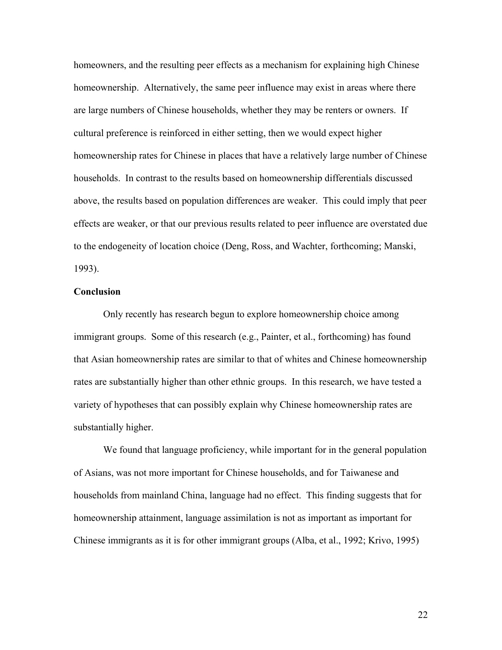homeowners, and the resulting peer effects as a mechanism for explaining high Chinese homeownership. Alternatively, the same peer influence may exist in areas where there are large numbers of Chinese households, whether they may be renters or owners. If cultural preference is reinforced in either setting, then we would expect higher homeownership rates for Chinese in places that have a relatively large number of Chinese households. In contrast to the results based on homeownership differentials discussed above, the results based on population differences are weaker. This could imply that peer effects are weaker, or that our previous results related to peer influence are overstated due to the endogeneity of location choice (Deng, Ross, and Wachter, forthcoming; Manski, 1993).

#### **Conclusion**

 Only recently has research begun to explore homeownership choice among immigrant groups. Some of this research (e.g., Painter, et al., forthcoming) has found that Asian homeownership rates are similar to that of whites and Chinese homeownership rates are substantially higher than other ethnic groups. In this research, we have tested a variety of hypotheses that can possibly explain why Chinese homeownership rates are substantially higher.

 We found that language proficiency, while important for in the general population of Asians, was not more important for Chinese households, and for Taiwanese and households from mainland China, language had no effect. This finding suggests that for homeownership attainment, language assimilation is not as important as important for Chinese immigrants as it is for other immigrant groups (Alba, et al., 1992; Krivo, 1995)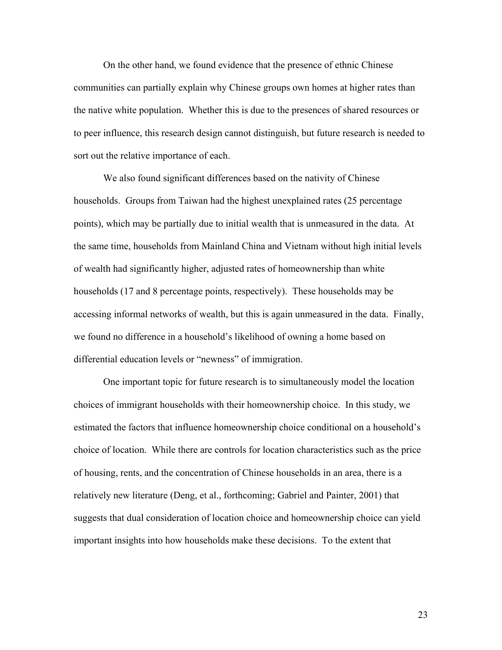On the other hand, we found evidence that the presence of ethnic Chinese communities can partially explain why Chinese groups own homes at higher rates than the native white population. Whether this is due to the presences of shared resources or to peer influence, this research design cannot distinguish, but future research is needed to sort out the relative importance of each.

We also found significant differences based on the nativity of Chinese households. Groups from Taiwan had the highest unexplained rates (25 percentage points), which may be partially due to initial wealth that is unmeasured in the data. At the same time, households from Mainland China and Vietnam without high initial levels of wealth had significantly higher, adjusted rates of homeownership than white households (17 and 8 percentage points, respectively). These households may be accessing informal networks of wealth, but this is again unmeasured in the data. Finally, we found no difference in a household's likelihood of owning a home based on differential education levels or "newness" of immigration.

One important topic for future research is to simultaneously model the location choices of immigrant households with their homeownership choice. In this study, we estimated the factors that influence homeownership choice conditional on a household's choice of location. While there are controls for location characteristics such as the price of housing, rents, and the concentration of Chinese households in an area, there is a relatively new literature (Deng, et al., forthcoming; Gabriel and Painter, 2001) that suggests that dual consideration of location choice and homeownership choice can yield important insights into how households make these decisions. To the extent that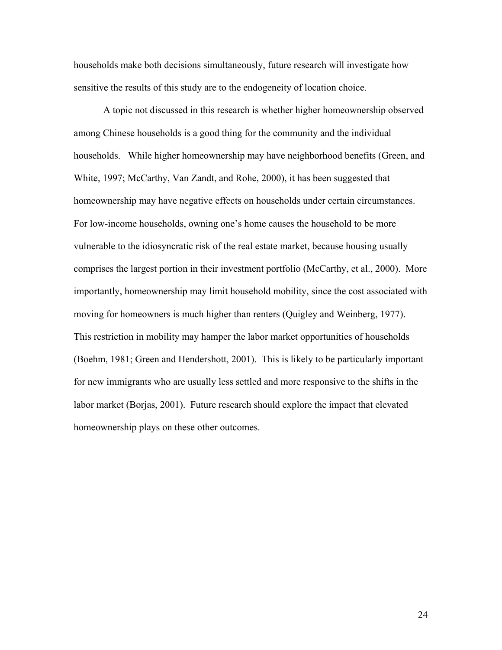households make both decisions simultaneously, future research will investigate how sensitive the results of this study are to the endogeneity of location choice.

A topic not discussed in this research is whether higher homeownership observed among Chinese households is a good thing for the community and the individual households. While higher homeownership may have neighborhood benefits (Green, and White, 1997; McCarthy, Van Zandt, and Rohe, 2000), it has been suggested that homeownership may have negative effects on households under certain circumstances. For low-income households, owning one's home causes the household to be more vulnerable to the idiosyncratic risk of the real estate market, because housing usually comprises the largest portion in their investment portfolio (McCarthy, et al., 2000). More importantly, homeownership may limit household mobility, since the cost associated with moving for homeowners is much higher than renters (Quigley and Weinberg, 1977). This restriction in mobility may hamper the labor market opportunities of households (Boehm, 1981; Green and Hendershott, 2001). This is likely to be particularly important for new immigrants who are usually less settled and more responsive to the shifts in the labor market (Borjas, 2001). Future research should explore the impact that elevated homeownership plays on these other outcomes.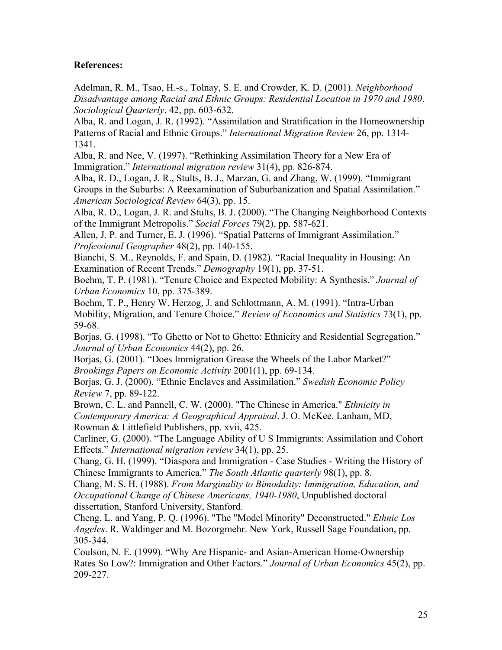## **References:**

Adelman, R. M., Tsao, H.-s., Tolnay, S. E. and Crowder, K. D. (2001). *Neighborhood Disadvantage among Racial and Ethnic Groups: Residential Location in 1970 and 1980*. *Sociological Quarterly*. 42, pp. 603-632.

Alba, R. and Logan, J. R. (1992). "Assimilation and Stratification in the Homeownership Patterns of Racial and Ethnic Groups." *International Migration Review* 26, pp. 1314- 1341.

Alba, R. and Nee, V. (1997). "Rethinking Assimilation Theory for a New Era of Immigration." *International migration review* 31(4), pp. 826-874.

Alba, R. D., Logan, J. R., Stults, B. J., Marzan, G. and Zhang, W. (1999). "Immigrant Groups in the Suburbs: A Reexamination of Suburbanization and Spatial Assimilation." *American Sociological Review* 64(3), pp. 15.

Alba, R. D., Logan, J. R. and Stults, B. J. (2000). "The Changing Neighborhood Contexts of the Immigrant Metropolis." *Social Forces* 79(2), pp. 587-621.

Allen, J. P. and Turner, E. J. (1996). "Spatial Patterns of Immigrant Assimilation." *Professional Geographer* 48(2), pp. 140-155.

Bianchi, S. M., Reynolds, F. and Spain, D. (1982). "Racial Inequality in Housing: An Examination of Recent Trends." *Demography* 19(1), pp. 37-51.

Boehm, T. P. (1981). "Tenure Choice and Expected Mobility: A Synthesis." *Journal of Urban Economics* 10, pp. 375-389.

Boehm, T. P., Henry W. Herzog, J. and Schlottmann, A. M. (1991). "Intra-Urban Mobility, Migration, and Tenure Choice." *Review of Economics and Statistics* 73(1), pp. 59-68.

Borjas, G. (1998). "To Ghetto or Not to Ghetto: Ethnicity and Residential Segregation." *Journal of Urban Economics* 44(2), pp. 26.

Borjas, G. (2001). "Does Immigration Grease the Wheels of the Labor Market?" *Brookings Papers on Economic Activity* 2001(1), pp. 69-134.

Borjas, G. J. (2000). "Ethnic Enclaves and Assimilation." *Swedish Economic Policy Review* 7, pp. 89-122.

Brown, C. L. and Pannell, C. W. (2000). "The Chinese in America." *Ethnicity in Contemporary America: A Geographical Appraisal*. J. O. McKee. Lanham, MD, Rowman & Littlefield Publishers, pp. xvii, 425.

Carliner, G. (2000). "The Language Ability of U S Immigrants: Assimilation and Cohort Effects." *International migration review* 34(1), pp. 25.

Chang, G. H. (1999). "Diaspora and Immigration - Case Studies - Writing the History of Chinese Immigrants to America." *The South Atlantic quarterly* 98(1), pp. 8.

Chang, M. S. H. (1988). *From Marginality to Bimodality: Immigration, Education, and Occupational Change of Chinese Americans, 1940-1980*, Unpublished doctoral dissertation, Stanford University, Stanford.

Cheng, L. and Yang, P. Q. (1996). "The "Model Minority" Deconstructed." *Ethnic Los Angeles*. R. Waldinger and M. Bozorgmehr. New York, Russell Sage Foundation, pp. 305-344.

Coulson, N. E. (1999). "Why Are Hispanic- and Asian-American Home-Ownership Rates So Low?: Immigration and Other Factors." *Journal of Urban Economics* 45(2), pp. 209-227.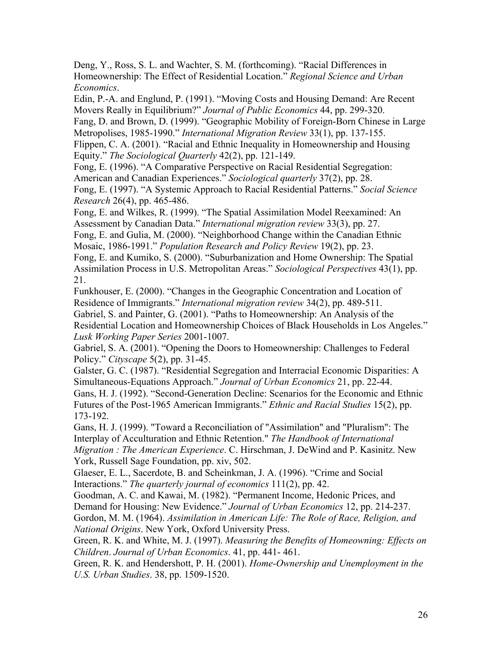Deng, Y., Ross, S. L. and Wachter, S. M. (forthcoming). "Racial Differences in Homeownership: The Effect of Residential Location." *Regional Science and Urban Economics*.

Edin, P.-A. and Englund, P. (1991). "Moving Costs and Housing Demand: Are Recent Movers Really in Equilibrium?" *Journal of Public Economics* 44, pp. 299-320. Fang, D. and Brown, D. (1999). "Geographic Mobility of Foreign-Born Chinese in Large Metropolises, 1985-1990." *International Migration Review* 33(1), pp. 137-155. Flippen, C. A. (2001). "Racial and Ethnic Inequality in Homeownership and Housing

Equity." *The Sociological Quarterly* 42(2), pp. 121-149.

Fong, E. (1996). "A Comparative Perspective on Racial Residential Segregation: American and Canadian Experiences." *Sociological quarterly* 37(2), pp. 28.

Fong, E. (1997). "A Systemic Approach to Racial Residential Patterns." *Social Science Research* 26(4), pp. 465-486.

Fong, E. and Wilkes, R. (1999). "The Spatial Assimilation Model Reexamined: An Assessment by Canadian Data." *International migration review* 33(3), pp. 27.

Fong, E. and Gulia, M. (2000). "Neighborhood Change within the Canadian Ethnic Mosaic, 1986-1991." *Population Research and Policy Review* 19(2), pp. 23.

Fong, E. and Kumiko, S. (2000). "Suburbanization and Home Ownership: The Spatial Assimilation Process in U.S. Metropolitan Areas." *Sociological Perspectives* 43(1), pp. 21.

Funkhouser, E. (2000). "Changes in the Geographic Concentration and Location of Residence of Immigrants." *International migration review* 34(2), pp. 489-511.

Gabriel, S. and Painter, G. (2001). "Paths to Homeownership: An Analysis of the Residential Location and Homeownership Choices of Black Households in Los Angeles." *Lusk Working Paper Series* 2001-1007.

Gabriel, S. A. (2001). "Opening the Doors to Homeownership: Challenges to Federal Policy." *Cityscape* 5(2), pp. 31-45.

Galster, G. C. (1987). "Residential Segregation and Interracial Economic Disparities: A Simultaneous-Equations Approach." *Journal of Urban Economics* 21, pp. 22-44.

Gans, H. J. (1992). "Second-Generation Decline: Scenarios for the Economic and Ethnic Futures of the Post-1965 American Immigrants." *Ethnic and Racial Studies* 15(2), pp. 173-192.

Gans, H. J. (1999). "Toward a Reconciliation of "Assimilation" and "Pluralism": The Interplay of Acculturation and Ethnic Retention." *The Handbook of International Migration : The American Experience*. C. Hirschman, J. DeWind and P. Kasinitz. New York, Russell Sage Foundation, pp. xiv, 502.

Glaeser, E. L., Sacerdote, B. and Scheinkman, J. A. (1996). "Crime and Social Interactions." *The quarterly journal of economics* 111(2), pp. 42.

Goodman, A. C. and Kawai, M. (1982). "Permanent Income, Hedonic Prices, and Demand for Housing: New Evidence." *Journal of Urban Economics* 12, pp. 214-237.

Gordon, M. M. (1964). *Assimilation in American Life: The Role of Race, Religion, and National Origins*. New York, Oxford University Press.

Green, R. K. and White, M. J. (1997). *Measuring the Benefits of Homeowning: Effects on Children*. *Journal of Urban Economics*. 41, pp. 441- 461.

Green, R. K. and Hendershott, P. H. (2001). *Home-Ownership and Unemployment in the U.S. Urban Studies*. 38, pp. 1509-1520.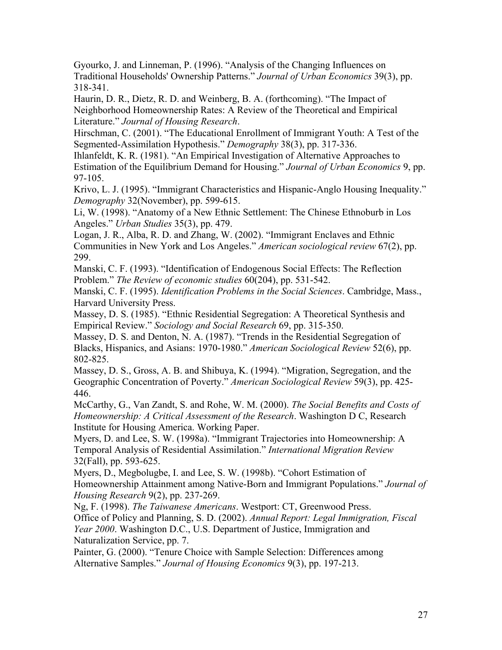Gyourko, J. and Linneman, P. (1996). "Analysis of the Changing Influences on Traditional Households' Ownership Patterns." *Journal of Urban Economics* 39(3), pp. 318-341.

Haurin, D. R., Dietz, R. D. and Weinberg, B. A. (forthcoming). "The Impact of Neighborhood Homeownership Rates: A Review of the Theoretical and Empirical Literature." *Journal of Housing Research*.

Hirschman, C. (2001). "The Educational Enrollment of Immigrant Youth: A Test of the Segmented-Assimilation Hypothesis." *Demography* 38(3), pp. 317-336.

Ihlanfeldt, K. R. (1981). "An Empirical Investigation of Alternative Approaches to Estimation of the Equilibrium Demand for Housing." *Journal of Urban Economics* 9, pp. 97-105.

Krivo, L. J. (1995). "Immigrant Characteristics and Hispanic-Anglo Housing Inequality." *Demography* 32(November), pp. 599-615.

Li, W. (1998). "Anatomy of a New Ethnic Settlement: The Chinese Ethnoburb in Los Angeles." *Urban Studies* 35(3), pp. 479.

Logan, J. R., Alba, R. D. and Zhang, W. (2002). "Immigrant Enclaves and Ethnic Communities in New York and Los Angeles." *American sociological review* 67(2), pp. 299.

Manski, C. F. (1993). "Identification of Endogenous Social Effects: The Reflection Problem." *The Review of economic studies* 60(204), pp. 531-542.

Manski, C. F. (1995). *Identification Problems in the Social Sciences*. Cambridge, Mass., Harvard University Press.

Massey, D. S. (1985). "Ethnic Residential Segregation: A Theoretical Synthesis and Empirical Review." *Sociology and Social Research* 69, pp. 315-350.

Massey, D. S. and Denton, N. A. (1987). "Trends in the Residential Segregation of Blacks, Hispanics, and Asians: 1970-1980." *American Sociological Review* 52(6), pp. 802-825.

Massey, D. S., Gross, A. B. and Shibuya, K. (1994). "Migration, Segregation, and the Geographic Concentration of Poverty." *American Sociological Review* 59(3), pp. 425- 446.

McCarthy, G., Van Zandt, S. and Rohe, W. M. (2000). *The Social Benefits and Costs of Homeownership: A Critical Assessment of the Research*. Washington D C, Research Institute for Housing America. Working Paper.

Myers, D. and Lee, S. W. (1998a). "Immigrant Trajectories into Homeownership: A Temporal Analysis of Residential Assimilation." *International Migration Review* 32(Fall), pp. 593-625.

Myers, D., Megbolugbe, I. and Lee, S. W. (1998b). "Cohort Estimation of Homeownership Attainment among Native-Born and Immigrant Populations." *Journal of Housing Research* 9(2), pp. 237-269.

Ng, F. (1998). *The Taiwanese Americans*. Westport: CT, Greenwood Press. Office of Policy and Planning, S. D. (2002). *Annual Report: Legal Immigration, Fiscal Year 2000*. Washington D.C., U.S. Department of Justice, Immigration and Naturalization Service, pp. 7.

Painter, G. (2000). "Tenure Choice with Sample Selection: Differences among Alternative Samples." *Journal of Housing Economics* 9(3), pp. 197-213.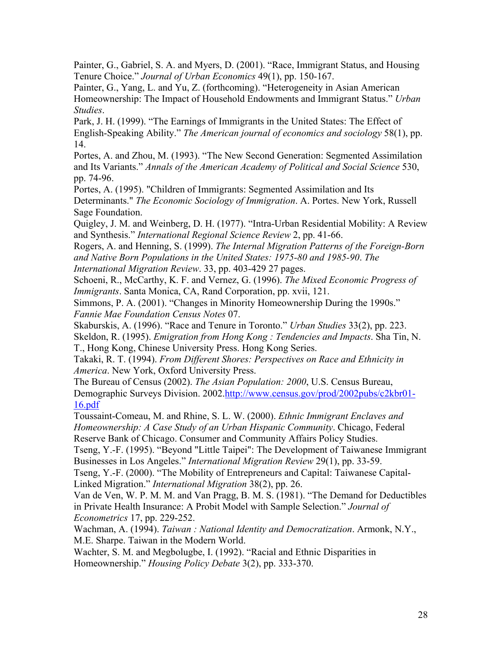Painter, G., Gabriel, S. A. and Myers, D. (2001). "Race, Immigrant Status, and Housing Tenure Choice." *Journal of Urban Economics* 49(1), pp. 150-167.

Painter, G., Yang, L. and Yu, Z. (forthcoming). "Heterogeneity in Asian American Homeownership: The Impact of Household Endowments and Immigrant Status." *Urban Studies*.

Park, J. H. (1999). "The Earnings of Immigrants in the United States: The Effect of English-Speaking Ability." *The American journal of economics and sociology* 58(1), pp. 14.

Portes, A. and Zhou, M. (1993). "The New Second Generation: Segmented Assimilation and Its Variants." *Annals of the American Academy of Political and Social Science* 530, pp. 74-96.

Portes, A. (1995). "Children of Immigrants: Segmented Assimilation and Its Determinants." *The Economic Sociology of Immigration*. A. Portes. New York, Russell Sage Foundation.

Quigley, J. M. and Weinberg, D. H. (1977). "Intra-Urban Residential Mobility: A Review and Synthesis." *International Regional Science Review* 2, pp. 41-66.

Rogers, A. and Henning, S. (1999). *The Internal Migration Patterns of the Foreign-Born and Native Born Populations in the United States: 1975-80 and 1985-90*. *The International Migration Review*. 33, pp. 403-429 27 pages.

Schoeni, R., McCarthy, K. F. and Vernez, G. (1996). *The Mixed Economic Progress of Immigrants*. Santa Monica, CA, Rand Corporation, pp. xvii, 121.

Simmons, P. A. (2001). "Changes in Minority Homeownership During the 1990s." *Fannie Mae Foundation Census Notes* 07.

Skaburskis, A. (1996). "Race and Tenure in Toronto." *Urban Studies* 33(2), pp. 223. Skeldon, R. (1995). *Emigration from Hong Kong : Tendencies and Impacts*. Sha Tin, N. T., Hong Kong, Chinese University Press. Hong Kong Series.

Takaki, R. T. (1994). *From Different Shores: Perspectives on Race and Ethnicity in America*. New York, Oxford University Press.

The Bureau of Census (2002). *The Asian Population: 2000*, U.S. Census Bureau, Demographic Surveys Division. 2002.http://www.census.gov/prod/2002pubs/c2kbr01- 16.pdf

Toussaint-Comeau, M. and Rhine, S. L. W. (2000). *Ethnic Immigrant Enclaves and Homeownership: A Case Study of an Urban Hispanic Community*. Chicago, Federal Reserve Bank of Chicago. Consumer and Community Affairs Policy Studies.

Tseng, Y.-F. (1995). "Beyond "Little Taipei": The Development of Taiwanese Immigrant Businesses in Los Angeles." *International Migration Review* 29(1), pp. 33-59.

Tseng, Y.-F. (2000). "The Mobility of Entrepreneurs and Capital: Taiwanese Capital-Linked Migration." *International Migration* 38(2), pp. 26.

Van de Ven, W. P. M. M. and Van Pragg, B. M. S. (1981). "The Demand for Deductibles in Private Health Insurance: A Probit Model with Sample Selection." *Journal of Econometrics* 17, pp. 229-252.

Wachman, A. (1994). *Taiwan : National Identity and Democratization*. Armonk, N.Y., M.E. Sharpe. Taiwan in the Modern World.

Wachter, S. M. and Megbolugbe, I. (1992). "Racial and Ethnic Disparities in Homeownership." *Housing Policy Debate* 3(2), pp. 333-370.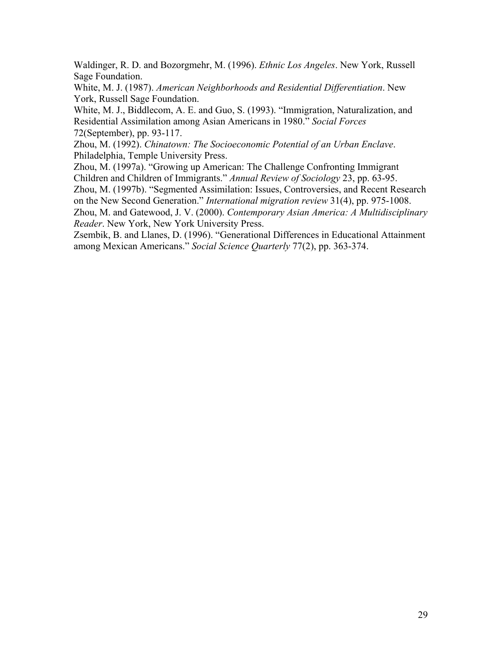Waldinger, R. D. and Bozorgmehr, M. (1996). *Ethnic Los Angeles*. New York, Russell Sage Foundation.

White, M. J. (1987). *American Neighborhoods and Residential Differentiation*. New York, Russell Sage Foundation.

White, M. J., Biddlecom, A. E. and Guo, S. (1993). "Immigration, Naturalization, and Residential Assimilation among Asian Americans in 1980." *Social Forces* 72(September), pp. 93-117.

Zhou, M. (1992). *Chinatown: The Socioeconomic Potential of an Urban Enclave*. Philadelphia, Temple University Press.

Zhou, M. (1997a). "Growing up American: The Challenge Confronting Immigrant Children and Children of Immigrants." *Annual Review of Sociology* 23, pp. 63-95.

Zhou, M. (1997b). "Segmented Assimilation: Issues, Controversies, and Recent Research on the New Second Generation." *International migration review* 31(4), pp. 975-1008.

Zhou, M. and Gatewood, J. V. (2000). *Contemporary Asian America: A Multidisciplinary Reader*. New York, New York University Press.

Zsembik, B. and Llanes, D. (1996). "Generational Differences in Educational Attainment among Mexican Americans." *Social Science Quarterly* 77(2), pp. 363-374.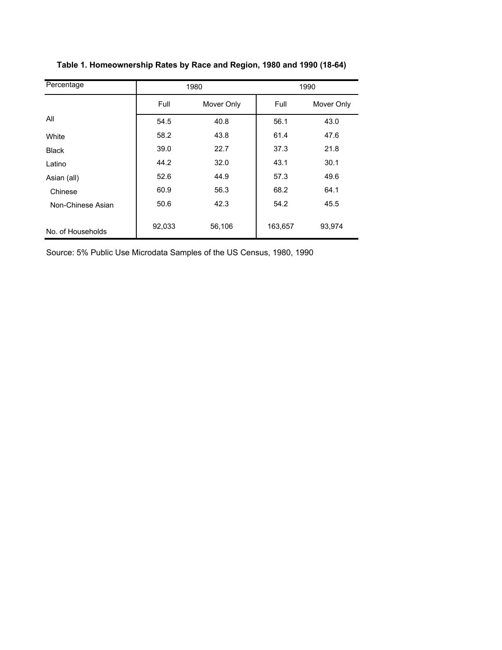| Percentage        |        | 1980       | 1990    |            |
|-------------------|--------|------------|---------|------------|
|                   | Full   | Mover Only | Full    | Mover Only |
| All               | 54.5   | 40.8       | 56.1    | 43.0       |
| White             | 58.2   | 43.8       | 61.4    | 47.6       |
| <b>Black</b>      | 39.0   | 22.7       | 37.3    | 21.8       |
| Latino            | 44.2   | 32.0       | 43.1    | 30.1       |
| Asian (all)       | 52.6   | 44.9       | 57.3    | 49.6       |
| Chinese           | 60.9   | 56.3       | 68.2    | 64.1       |
| Non-Chinese Asian | 50.6   | 42.3       | 54.2    | 45.5       |
| No. of Households | 92,033 | 56,106     | 163,657 | 93,974     |

**Table 1. Homeownership Rates by Race and Region, 1980 and 1990 (18-64)**

Source: 5% Public Use Microdata Samples of the US Census, 1980, 1990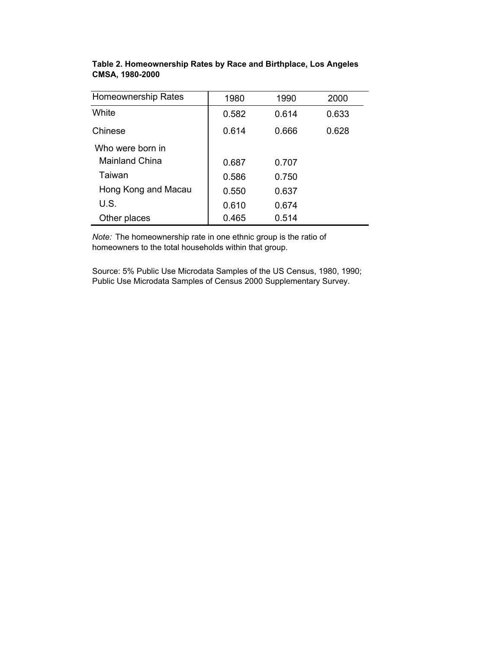| 1980  | 1990  | 2000  |
|-------|-------|-------|
| 0.582 | 0.614 | 0.633 |
| 0.614 | 0.666 | 0.628 |
|       |       |       |
| 0.687 | 0.707 |       |
| 0.586 | 0.750 |       |
| 0.550 | 0.637 |       |
| 0.610 | 0.674 |       |
| 0.465 | 0.514 |       |
|       |       |       |

**Table 2. Homeownership Rates by Race and Birthplace, Los Angeles CMSA, 1980-2000**

*Note:* The homeownership rate in one ethnic group is the ratio of homeowners to the total households within that group.

Source: 5% Public Use Microdata Samples of the US Census, 1980, 1990; Public Use Microdata Samples of Census 2000 Supplementary Survey.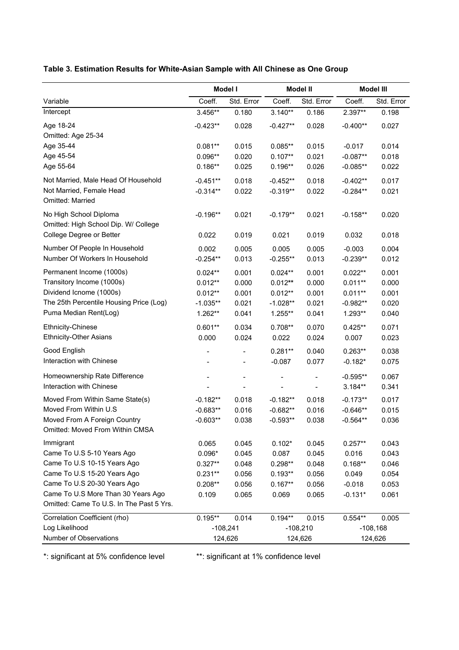|                                                                 | <b>Model I</b> |                              | <b>Model II</b> |            | <b>Model III</b> |            |
|-----------------------------------------------------------------|----------------|------------------------------|-----------------|------------|------------------|------------|
| Variable                                                        | Coeff.         | Std. Error                   | Coeff.          | Std. Error | Coeff.           | Std. Error |
| Intercept                                                       | 3.456**        | 0.180                        | $3.140**$       | 0.186      | 2.397**          | 0.198      |
| Age 18-24                                                       | $-0.423**$     | 0.028                        | $-0.427**$      | 0.028      | $-0.400**$       | 0.027      |
| Omitted: Age 25-34                                              |                |                              |                 |            |                  |            |
| Age 35-44                                                       | $0.081**$      | 0.015                        | $0.085**$       | 0.015      | $-0.017$         | 0.014      |
| Age 45-54                                                       | $0.096**$      | 0.020                        | $0.107**$       | 0.021      | $-0.087**$       | 0.018      |
| Age 55-64                                                       | $0.186**$      | 0.025                        | $0.196**$       | 0.026      | $-0.085**$       | 0.022      |
| Not Married, Male Head Of Household                             | $-0.451**$     | 0.018                        | $-0.452**$      | 0.018      | $-0.402**$       | 0.017      |
| Not Married, Female Head<br>Omitted: Married                    | $-0.314**$     | 0.022                        | $-0.319**$      | 0.022      | $-0.284**$       | 0.021      |
| No High School Diploma<br>Omitted: High School Dip. W/ College  | $-0.196**$     | 0.021                        | $-0.179**$      | 0.021      | $-0.158**$       | 0.020      |
| College Degree or Better                                        | 0.022          | 0.019                        | 0.021           | 0.019      | 0.032            | 0.018      |
| Number Of People In Household                                   | 0.002          | 0.005                        | 0.005           | 0.005      | $-0.003$         | 0.004      |
| Number Of Workers In Household                                  | $-0.254**$     | 0.013                        | $-0.255**$      | 0.013      | $-0.239**$       | 0.012      |
| Permanent Income (1000s)                                        | $0.024**$      | 0.001                        | $0.024**$       | 0.001      | $0.022**$        | 0.001      |
| Transitory Income (1000s)                                       | $0.012**$      | 0.000                        | $0.012**$       | 0.000      | $0.011**$        | 0.000      |
| Dividend Icnome (1000s)                                         | $0.012**$      | 0.001                        | $0.012**$       | 0.001      | $0.011**$        | 0.001      |
| The 25th Percentile Housing Price (Log)                         | $-1.035**$     | 0.021                        | $-1.028**$      | 0.021      | $-0.982**$       | 0.020      |
| Puma Median Rent(Log)                                           | 1.262**        | 0.041                        | $1.255***$      | 0.041      | 1.293**          | 0.040      |
| Ethnicity-Chinese                                               | $0.601**$      | 0.034                        | $0.708**$       | 0.070      | $0.425**$        | 0.071      |
| <b>Ethnicity-Other Asians</b>                                   | 0.000          | 0.024                        | 0.022           | 0.024      | 0.007            | 0.023      |
| Good English                                                    |                |                              | $0.281**$       | 0.040      | $0.263**$        | 0.038      |
| Interaction with Chinese                                        |                |                              | $-0.087$        | 0.077      | $-0.182*$        | 0.075      |
| Homeownership Rate Difference                                   |                | $\qquad \qquad \blacksquare$ |                 |            | $-0.595**$       | 0.067      |
| Interaction with Chinese                                        |                |                              | $\overline{a}$  |            | $3.184**$        | 0.341      |
| Moved From Within Same State(s)                                 | $-0.182**$     | 0.018                        | $-0.182**$      | 0.018      | $-0.173**$       | 0.017      |
| Moved From Within U.S                                           | $-0.683**$     | 0.016                        | $-0.682**$      | 0.016      | $-0.646**$       | 0.015      |
| Moved From A Foreign Country<br>Omitted: Moved From Within CMSA | $-0.603**$     | 0.038                        | $-0.593**$      | 0.038      | $-0.564**$       | 0.036      |
| Immigrant                                                       | 0.065          | 0.045                        | $0.102*$        | 0.045      | $0.257**$        | 0.043      |
| Came To U.S 5-10 Years Ago                                      | $0.096*$       | 0.045                        | 0.087           | 0.045      | 0.016            | 0.043      |
| Came To U.S 10-15 Years Ago                                     | $0.327**$      | 0.048                        | $0.298**$       | 0.048      | $0.168**$        | 0.046      |
| Came To U.S 15-20 Years Ago                                     | $0.231**$      | 0.056                        | $0.193**$       | 0.056      | 0.049            | 0.054      |
| Came To U.S 20-30 Years Ago                                     | $0.208**$      | 0.056                        | $0.167**$       | 0.056      | $-0.018$         | 0.053      |
| Came To U.S More Than 30 Years Ago                              | 0.109          | 0.065                        | 0.069           | 0.065      | $-0.131*$        | 0.061      |
| Omitted: Came To U.S. In The Past 5 Yrs.                        |                |                              |                 |            |                  |            |
| Correlation Coefficient (rho)                                   | $0.195**$      | 0.014                        | $0.194**$       | 0.015      | $0.554**$        | 0.005      |
| Log Likelihood                                                  |                | $-108,241$                   |                 | $-108,210$ |                  | $-108,168$ |
| Number of Observations                                          |                | 124,626                      |                 | 124,626    |                  | 124,626    |

# **Table 3. Estimation Results for White-Asian Sample with All Chinese as One Group**

\*: significant at 5% confidence level \*\*: significant at 1% confidence level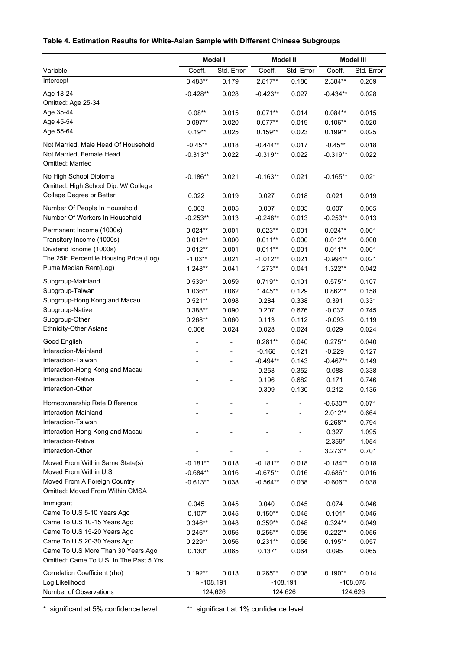## **Table 4. Estimation Results for White-Asian Sample with Different Chinese Subgroups**

|                                                                                | Model I    |                                                      | <b>Model II</b>          |                | Model III               |                |
|--------------------------------------------------------------------------------|------------|------------------------------------------------------|--------------------------|----------------|-------------------------|----------------|
| Variable                                                                       | Coeff.     | Std. Error                                           | Coeff.                   | Std. Error     | Coeff.                  | Std. Error     |
| Intercept                                                                      | 3.483**    | 0.179                                                | 2.817**                  | 0.186          | 2.384**                 | 0.209          |
| Age 18-24                                                                      | $-0.428**$ | 0.028                                                | $-0.423**$               | 0.027          | $-0.434**$              | 0.028          |
| Omitted: Age 25-34                                                             |            |                                                      |                          |                |                         |                |
| Age 35-44                                                                      | $0.08**$   | 0.015                                                | $0.071**$                | 0.014          | $0.084**$               | 0.015          |
| Age 45-54                                                                      | $0.097**$  | 0.020                                                | $0.077**$                | 0.019          | $0.106**$               | 0.020          |
| Age 55-64                                                                      | $0.19**$   | 0.025                                                | $0.159**$                | 0.023          | $0.199**$               | 0.025          |
| Not Married, Male Head Of Household                                            | $-0.45**$  | 0.018                                                | $-0.444**$               | 0.017          | $-0.45**$               | 0.018          |
| Not Married, Female Head<br>Omitted: Married                                   | $-0.313**$ | 0.022                                                | $-0.319**$               | 0.022          | $-0.319**$              | 0.022          |
| No High School Diploma<br>Omitted: High School Dip. W/ College                 | $-0.186**$ | 0.021                                                | $-0.163**$               | 0.021          | $-0.165**$              | 0.021          |
| College Degree or Better                                                       | 0.022      | 0.019                                                | 0.027                    | 0.018          | 0.021                   | 0.019          |
| Number Of People In Household                                                  | 0.003      | 0.005                                                | 0.007                    | 0.005          | 0.007                   | 0.005          |
| Number Of Workers In Household                                                 | $-0.253**$ | 0.013                                                | $-0.248**$               | 0.013          | $-0.253**$              | 0.013          |
| Permanent Income (1000s)                                                       | $0.024**$  | 0.001                                                | $0.023**$                | 0.001          | $0.024**$               | 0.001          |
| Transitory Income (1000s)                                                      | $0.012**$  | 0.000                                                | $0.011**$                | 0.000          | $0.012**$               | 0.000          |
| Dividend Icnome (1000s)                                                        | $0.012**$  | 0.001                                                | $0.011**$                | 0.001          | $0.011**$               | 0.001          |
| The 25th Percentile Housing Price (Log)                                        | $-1.03**$  | 0.021                                                | $-1.012**$               | 0.021          | $-0.994**$              | 0.021          |
| Puma Median Rent(Log)                                                          | $1.248**$  | 0.041                                                | $1.273**$                | 0.041          | $1.322**$               | 0.042          |
| Subgroup-Mainland                                                              | $0.539**$  | 0.059                                                | $0.719**$                | 0.101          | $0.575**$               | 0.107          |
| Subgroup-Taiwan                                                                | 1.036**    | 0.062                                                | 1.445**                  | 0.129          | $0.862**$               | 0.158          |
| Subgroup-Hong Kong and Macau                                                   | $0.521**$  | 0.098                                                | 0.284                    | 0.338          | 0.391                   | 0.331          |
| Subgroup-Native                                                                | $0.388**$  | 0.090                                                | 0.207                    | 0.676          | $-0.037$                | 0.745          |
| Subgroup-Other                                                                 | $0.268**$  | 0.060                                                | 0.113                    | 0.112          | $-0.093$                | 0.119          |
| <b>Ethnicity-Other Asians</b>                                                  | 0.006      | 0.024                                                | 0.028                    | 0.024          | 0.029                   | 0.024          |
| Good English                                                                   |            |                                                      | $0.281**$                | 0.040          | $0.275**$               | 0.040          |
| Interaction-Mainland<br>Interaction-Taiwan                                     |            |                                                      | $-0.168$                 | 0.121          | $-0.229$                | 0.127          |
| Interaction-Hong Kong and Macau                                                |            | $\overline{\phantom{a}}$<br>$\overline{\phantom{a}}$ | $-0.494**$<br>0.258      | 0.143<br>0.352 | $-0.467**$<br>0.088     | 0.149<br>0.338 |
| <b>Interaction-Native</b>                                                      |            |                                                      | 0.196                    | 0.682          | 0.171                   | 0.746          |
| Interaction-Other                                                              |            |                                                      | 0.309                    | 0.130          | 0.212                   | 0.135          |
|                                                                                |            |                                                      |                          |                |                         |                |
| Homeownership Rate Difference<br>Interaction-Mainland                          |            | $\overline{\phantom{a}}$                             | $\overline{\phantom{0}}$ |                | $-0.630**$<br>$2.012**$ | 0.071<br>0.664 |
| Interaction-Taiwan                                                             |            |                                                      |                          |                | 5.268**                 | 0.794          |
| Interaction-Hong Kong and Macau                                                |            |                                                      |                          |                | 0.327                   | 1.095          |
| Interaction-Native                                                             |            |                                                      |                          |                | 2.359*                  | 1.054          |
| Interaction-Other                                                              |            |                                                      |                          |                | $3.273**$               | 0.701          |
| Moved From Within Same State(s)                                                | $-0.181**$ | 0.018                                                | $-0.181**$               | 0.018          | $-0.184**$              | 0.018          |
| Moved From Within U.S.                                                         | $-0.684**$ | 0.016                                                | $-0.675**$               | 0.016          | $-0.686**$              | 0.016          |
| Moved From A Foreign Country                                                   | $-0.613**$ | 0.038                                                | $-0.564**$               | 0.038          | $-0.606**$              | 0.038          |
| Omitted: Moved From Within CMSA                                                |            |                                                      |                          |                |                         |                |
| Immigrant                                                                      | 0.045      | 0.045                                                | 0.040                    | 0.045          | 0.074                   | 0.046          |
| Came To U.S 5-10 Years Ago                                                     | $0.107*$   | 0.045                                                | $0.150**$                | 0.045          | $0.101*$                | 0.045          |
| Came To U.S 10-15 Years Ago                                                    | $0.346**$  | 0.048                                                | $0.359**$                | 0.048          | $0.324**$               | 0.049          |
| Came To U.S 15-20 Years Ago                                                    | $0.246**$  | 0.056                                                | $0.256**$                | 0.056          | $0.222**$               | 0.056          |
| Came To U.S 20-30 Years Ago                                                    | $0.229**$  | 0.056                                                | $0.231**$                | 0.056          | $0.195**$               | 0.057          |
| Came To U.S More Than 30 Years Ago<br>Omitted: Came To U.S. In The Past 5 Yrs. | $0.130*$   | 0.065                                                | $0.137*$                 | 0.064          | 0.095                   | 0.065          |
|                                                                                |            |                                                      |                          |                |                         |                |
| Correlation Coefficient (rho)                                                  | $0.192**$  | 0.013                                                | $0.265**$                | 0.008          | $0.190**$               | 0.014          |
| Log Likelihood<br>Number of Observations                                       |            | $-108,191$                                           |                          | $-108,191$     |                         | $-108,078$     |
|                                                                                |            | 124,626                                              |                          | 124,626        |                         | 124,626        |

\*: significant at 5% confidence level

\*\*: significant at 1% confidence level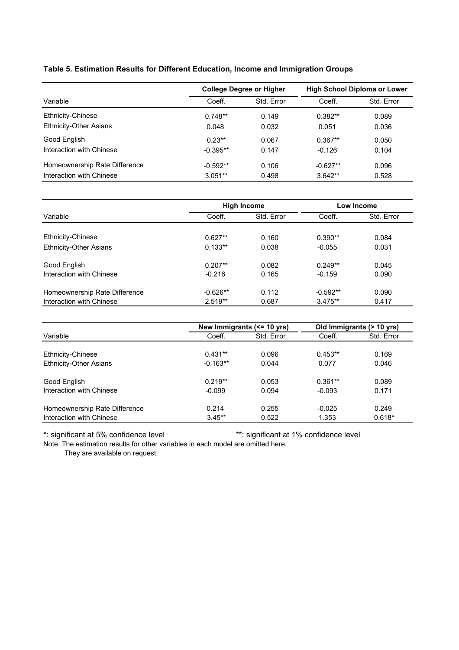## **Table 5. Estimation Results for Different Education, Income and Immigration Groups**

|                               | <b>College Degree or Higher</b> |            |            | High School Diploma or Lower |
|-------------------------------|---------------------------------|------------|------------|------------------------------|
| Variable                      | Coeff.                          | Std. Error | Coeff.     | Std. Error                   |
| Ethnicity-Chinese             | $0.748**$                       | 0.149      | $0.382**$  | 0.089                        |
| Ethnicity-Other Asians        | 0.048                           | 0.032      | 0.051      | 0.036                        |
| Good English                  | $0.23**$                        | 0.067      | $0.367**$  | 0.050                        |
| Interaction with Chinese      | $-0.395**$                      | 0.147      | $-0.126$   | 0.104                        |
| Homeownership Rate Difference | $-0.592**$                      | 0.106      | $-0.627**$ | 0.096                        |
| Interaction with Chinese      | $3.051**$                       | 0.498      | $3.642**$  | 0.528                        |

|                               |            | <b>High Income</b> |            | Low Income |
|-------------------------------|------------|--------------------|------------|------------|
| Variable                      | Coeff.     | Std. Error         | Coeff.     | Std. Error |
| Ethnicity-Chinese             | $0.627**$  | 0.160              | $0.390**$  | 0.084      |
| <b>Ethnicity-Other Asians</b> | $0.133**$  | 0.038              | $-0.055$   | 0.031      |
| Good English                  | $0.207**$  | 0.082              | $0.249**$  | 0.045      |
| Interaction with Chinese      | $-0.216$   | 0.165              | $-0.159$   | 0.090      |
| Homeownership Rate Difference | $-0.626**$ | 0.112              | $-0.592**$ | 0.090      |
| Interaction with Chinese      | $2.519**$  | 0.687              | $3.475**$  | 0.417      |

|                               |            | New Immigrants $\leq 10$ yrs) | Old Immigrants (> 10 yrs) |            |
|-------------------------------|------------|-------------------------------|---------------------------|------------|
| Variable                      | Coeff.     | Std. Error                    | Coeff.                    | Std. Error |
|                               |            |                               |                           |            |
| Ethnicity-Chinese             | $0.431**$  | 0.096                         | $0.453**$                 | 0.169      |
| Ethnicity-Other Asians        | $-0.163**$ | 0.044                         | 0.077                     | 0.046      |
| Good English                  | $0.219**$  | 0.053                         | $0.361**$                 | 0.089      |
| Interaction with Chinese      | $-0.099$   | 0.094                         | $-0.093$                  | 0.171      |
| Homeownership Rate Difference | 0.214      | 0.255                         | $-0.025$                  | 0.249      |
| Interaction with Chinese      | $3.45**$   | 0.522                         | 1.353                     | $0.618*$   |

\*: significant at 5% confidence level

\*\*: significant at 1% confidence level

Note: The estimation results for other variables in each model are omitted here.

They are available on request.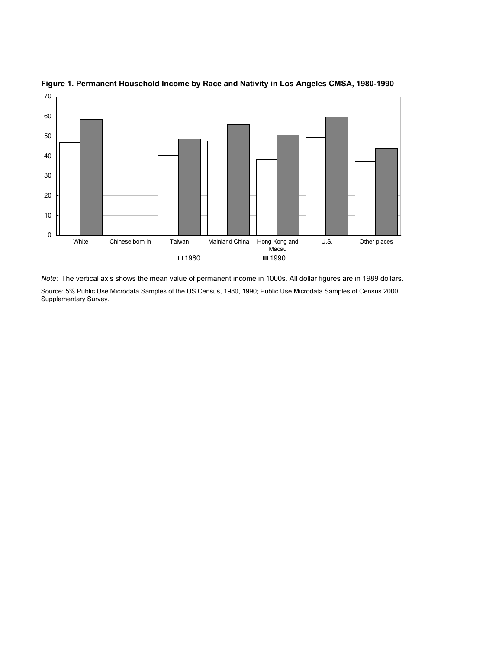

**Figure 1. Permanent Household Income by Race and Nativity in Los Angeles CMSA, 1980-1990**

*Note:* The vertical axis shows the mean value of permanent income in 1000s. All dollar figures are in 1989 dollars.

Source: 5% Public Use Microdata Samples of the US Census, 1980, 1990; Public Use Microdata Samples of Census 2000 Supplementary Survey.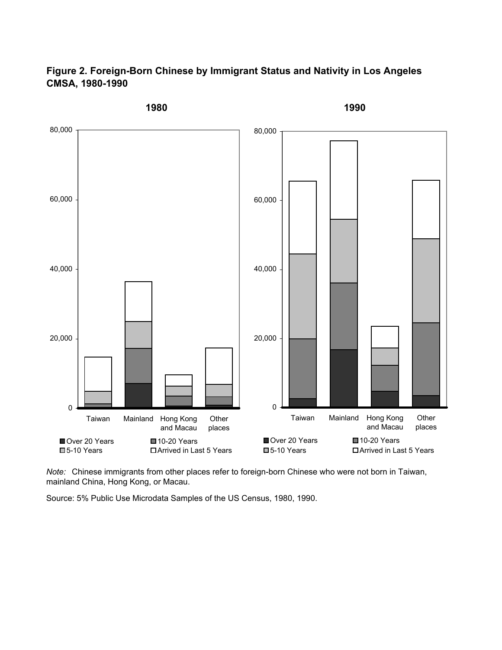



*Note:* Chinese immigrants from other places refer to foreign-born Chinese who were not born in Taiwan, mainland China, Hong Kong, or Macau.

Source: 5% Public Use Microdata Samples of the US Census, 1980, 1990.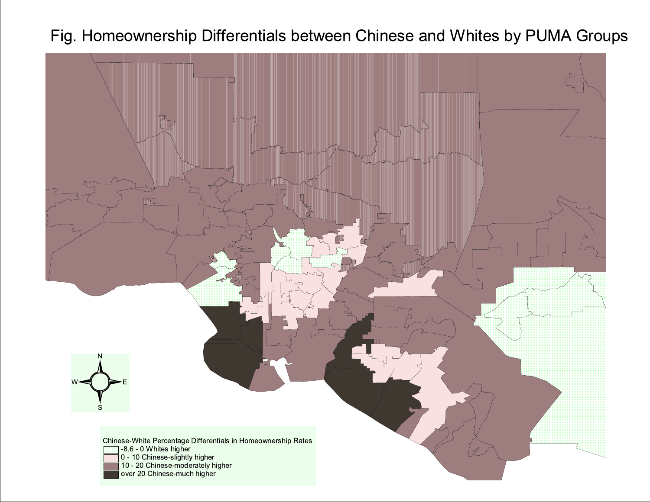Chinese-White Percentage Differentials in Homeownership Rates -8.6 - 0 Whites higher 0 - 10 Chinese-slightly higher<br>10 - 20 Chinese-moderately higher<br>over 20 Chinese-much higher

Fig. Homeownership Differentials between Chinese and Whites by PUMA Groups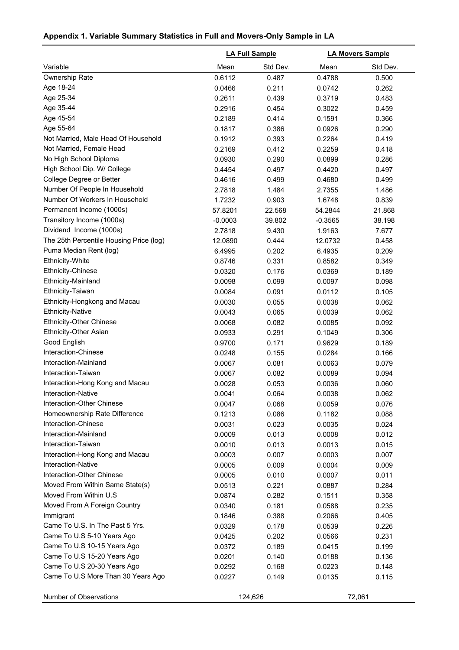## **Appendix 1. Variable Summary Statistics in Full and Movers-Only Sample in LA**

|                                         | <b>LA Full Sample</b> |          | <b>LA Movers Sample</b> |          |  |
|-----------------------------------------|-----------------------|----------|-------------------------|----------|--|
| Variable                                | Mean                  | Std Dev. | Mean                    | Std Dev. |  |
| Ownership Rate                          | 0.6112                | 0.487    | 0.4788                  | 0.500    |  |
| Age 18-24                               | 0.0466                | 0.211    | 0.0742                  | 0.262    |  |
| Age 25-34                               | 0.2611                | 0.439    | 0.3719                  | 0.483    |  |
| Age 35-44                               | 0.2916                | 0.454    | 0.3022                  | 0.459    |  |
| Age 45-54                               | 0.2189                | 0.414    | 0.1591                  | 0.366    |  |
| Age 55-64                               | 0.1817                | 0.386    | 0.0926                  | 0.290    |  |
| Not Married, Male Head Of Household     | 0.1912                | 0.393    | 0.2264                  | 0.419    |  |
| Not Married, Female Head                | 0.2169                | 0.412    | 0.2259                  | 0.418    |  |
| No High School Diploma                  | 0.0930                | 0.290    | 0.0899                  | 0.286    |  |
| High School Dip. W/ College             | 0.4454                | 0.497    | 0.4420                  | 0.497    |  |
| College Degree or Better                | 0.4616                | 0.499    | 0.4680                  | 0.499    |  |
| Number Of People In Household           | 2.7818                | 1.484    | 2.7355                  | 1.486    |  |
| Number Of Workers In Household          | 1.7232                | 0.903    | 1.6748                  | 0.839    |  |
| Permanent Income (1000s)                | 57.8201               | 22.568   | 54.2844                 | 21.868   |  |
| Transitory Income (1000s)               | $-0.0003$             | 39.802   | $-0.3565$               | 38.198   |  |
| Dividend Income (1000s)                 | 2.7818                | 9.430    | 1.9163                  | 7.677    |  |
| The 25th Percentile Housing Price (log) | 12.0890               | 0.444    | 12.0732                 | 0.458    |  |
| Puma Median Rent (log)                  | 6.4995                | 0.202    | 6.4935                  | 0.209    |  |
| Ethnicity-White                         | 0.8746                | 0.331    | 0.8582                  | 0.349    |  |
| Ethnicity-Chinese                       | 0.0320                | 0.176    | 0.0369                  | 0.189    |  |
| Ethnicity-Mainland                      | 0.0098                | 0.099    | 0.0097                  | 0.098    |  |
| Ethnicity-Taiwan                        | 0.0084                | 0.091    | 0.0112                  | 0.105    |  |
| Ethnicity-Hongkong and Macau            | 0.0030                | 0.055    | 0.0038                  | 0.062    |  |
| <b>Ethnicity-Native</b>                 | 0.0043                | 0.065    | 0.0039                  | 0.062    |  |
| Ethnicity-Other Chinese                 | 0.0068                | 0.082    | 0.0085                  | 0.092    |  |
| Ethnicity-Other Asian                   | 0.0933                | 0.291    | 0.1049                  | 0.306    |  |
| Good English                            | 0.9700                | 0.171    | 0.9629                  | 0.189    |  |
| Interaction-Chinese                     | 0.0248                | 0.155    | 0.0284                  | 0.166    |  |
| Interaction-Mainland                    | 0.0067                | 0.081    | 0.0063                  | 0.079    |  |
| Interaction-Taiwan                      | 0.0067                | 0.082    | 0.0089                  | 0.094    |  |
| Interaction-Hong Kong and Macau         | 0.0028                | 0.053    | 0.0036                  | 0.060    |  |
| Interaction-Native                      | 0.0041                | 0.064    | 0.0038                  | 0.062    |  |
| Interaction-Other Chinese               | 0.0047                | 0.068    | 0.0059                  | 0.076    |  |
| Homeownership Rate Difference           | 0.1213                | 0.086    | 0.1182                  | 0.088    |  |
| Interaction-Chinese                     | 0.0031                | 0.023    | 0.0035                  | 0.024    |  |
| Interaction-Mainland                    | 0.0009                | 0.013    | 0.0008                  | 0.012    |  |
| Interaction-Taiwan                      | 0.0010                | 0.013    | 0.0013                  | 0.015    |  |
| Interaction-Hong Kong and Macau         | 0.0003                | 0.007    | 0.0003                  | 0.007    |  |
| Interaction-Native                      | 0.0005                | 0.009    | 0.0004                  | 0.009    |  |
| Interaction-Other Chinese               | 0.0005                | 0.010    | 0.0007                  | 0.011    |  |
| Moved From Within Same State(s)         | 0.0513                | 0.221    | 0.0887                  | 0.284    |  |
| Moved From Within U.S                   | 0.0874                | 0.282    | 0.1511                  | 0.358    |  |
| Moved From A Foreign Country            | 0.0340                | 0.181    | 0.0588                  | 0.235    |  |
| Immigrant                               | 0.1846                | 0.388    | 0.2066                  | 0.405    |  |
| Came To U.S. In The Past 5 Yrs.         | 0.0329                | 0.178    | 0.0539                  | 0.226    |  |
| Came To U.S 5-10 Years Ago              | 0.0425                | 0.202    | 0.0566                  | 0.231    |  |
| Came To U.S 10-15 Years Ago             | 0.0372                | 0.189    | 0.0415                  | 0.199    |  |
| Came To U.S 15-20 Years Ago             | 0.0201                | 0.140    | 0.0188                  | 0.136    |  |
| Came To U.S 20-30 Years Ago             | 0.0292                | 0.168    | 0.0223                  | 0.148    |  |
| Came To U.S More Than 30 Years Ago      | 0.0227                | 0.149    | 0.0135                  | 0.115    |  |
| Number of Observations                  |                       | 124,626  |                         | 72,061   |  |